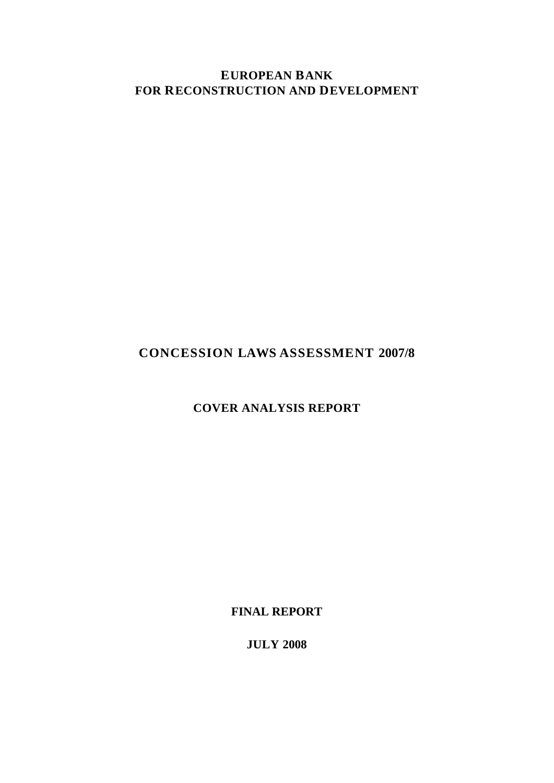**EUROPEAN BANK FOR RECONSTRUCTION AND DEVELOPMENT** 

# **CONCESSION LAWS ASSESSMENT 2007/8**

# **COVER ANALYSIS REPORT**

**FINAL REPORT** 

**JULY 2008**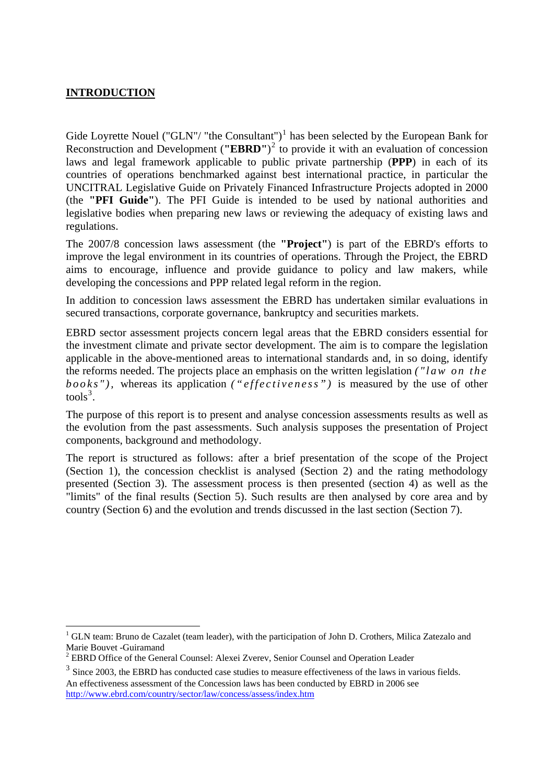# **INTRODUCTION**

1

Gide Loyrette Nouel ("GLN"/ "the Consultant")<sup>[1](#page-1-0)</sup> has been selected by the European Bank for Reconstruction and Development (**"EBRD"**) [2](#page-1-1) to provide it with an evaluation of concession laws and legal framework applicable to public private partnership (**PPP**) in each of its countries of operations benchmarked against best international practice, in particular the UNCITRAL Legislative Guide on Privately Financed Infrastructure Projects adopted in 2000 (the **"PFI Guide"**). The PFI Guide is intended to be used by national authorities and legislative bodies when preparing new laws or reviewing the adequacy of existing laws and regulations.

The 2007/8 concession laws assessment (the **"Project"**) is part of the EBRD's efforts to improve the legal environment in its countries of operations. Through the Project, the EBRD aims to encourage, influence and provide guidance to policy and law makers, while developing the concessions and PPP related legal reform in the region.

In addition to concession laws assessment the EBRD has undertaken similar evaluations in secured transactions, corporate governance, bankruptcy and securities markets.

EBRD sector assessment projects concern legal areas that the EBRD considers essential for the investment climate and private sector development. The aim is to compare the legislation applicable in the above-mentioned areas to international standards and, in so doing, identify the reforms needed. The projects place an emphasis on the written legislation *("law on the books"),* whereas its application *("effectiveness")* is measured by the use of other  $tools<sup>3</sup>$  $tools<sup>3</sup>$  $tools<sup>3</sup>$ .

The purpose of this report is to present and analyse concession assessments results as well as the evolution from the past assessments. Such analysis supposes the presentation of Project components, background and methodology.

The report is structured as follows: after a brief presentation of the scope of the Project (Section 1), the concession checklist is analysed (Section 2) and the rating methodology presented (Section 3). The assessment process is then presented (section 4) as well as the "limits" of the final results (Section 5). Such results are then analysed by core area and by country (Section 6) and the evolution and trends discussed in the last section (Section 7).

<span id="page-1-0"></span><sup>&</sup>lt;sup>1</sup> GLN team: Bruno de Cazalet (team leader), with the participation of John D. Crothers, Milica Zatezalo and Marie Bouvet -Guiramand

<span id="page-1-1"></span><sup>&</sup>lt;sup>2</sup> EBRD Office of the General Counsel: Alexei Zverev, Senior Counsel and Operation Leader

<span id="page-1-2"></span><sup>&</sup>lt;sup>3</sup> Since 2003, the EBRD has conducted case studies to measure effectiveness of the laws in various fields. An effectiveness assessment of the Concession laws has been conducted by EBRD in 2006 see <http://www.ebrd.com/country/sector/law/concess/assess/index.htm>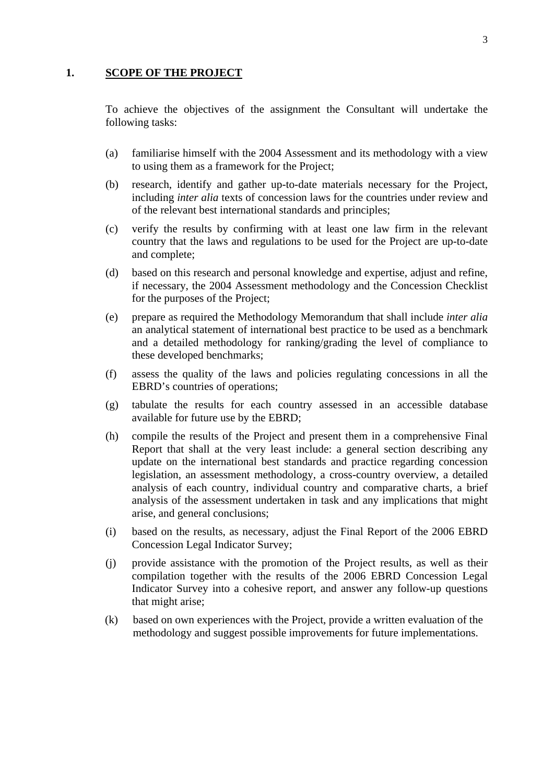# **1. SCOPE OF THE PROJECT**

To achieve the objectives of the assignment the Consultant will undertake the following tasks:

- (a) familiarise himself with the 2004 Assessment and its methodology with a view to using them as a framework for the Project;
- (b) research, identify and gather up-to-date materials necessary for the Project, including *inter alia* texts of concession laws for the countries under review and of the relevant best international standards and principles;
- (c) verify the results by confirming with at least one law firm in the relevant country that the laws and regulations to be used for the Project are up-to-date and complete;
- (d) based on this research and personal knowledge and expertise, adjust and refine, if necessary, the 2004 Assessment methodology and the Concession Checklist for the purposes of the Project;
- (e) prepare as required the Methodology Memorandum that shall include *inter alia*  an analytical statement of international best practice to be used as a benchmark and a detailed methodology for ranking/grading the level of compliance to these developed benchmarks;
- (f) assess the quality of the laws and policies regulating concessions in all the EBRD's countries of operations;
- (g) tabulate the results for each country assessed in an accessible database available for future use by the EBRD;
- (h) compile the results of the Project and present them in a comprehensive Final Report that shall at the very least include: a general section describing any update on the international best standards and practice regarding concession legislation, an assessment methodology, a cross-country overview, a detailed analysis of each country, individual country and comparative charts, a brief analysis of the assessment undertaken in task and any implications that might arise, and general conclusions;
- (i) based on the results, as necessary, adjust the Final Report of the 2006 EBRD Concession Legal Indicator Survey;
- (j) provide assistance with the promotion of the Project results, as well as their compilation together with the results of the 2006 EBRD Concession Legal Indicator Survey into a cohesive report, and answer any follow-up questions that might arise;
- (k) based on own experiences with the Project, provide a written evaluation of the methodology and suggest possible improvements for future implementations.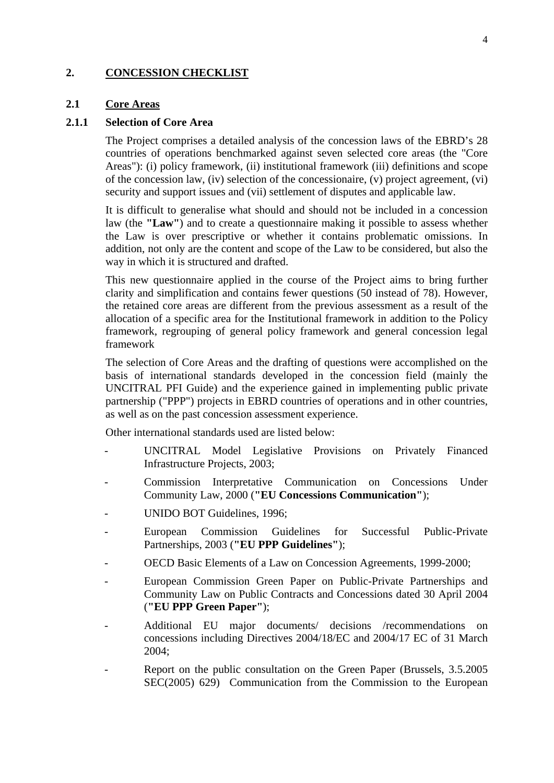# **2. CONCESSION CHECKLIST**

#### **2.1 Core Areas**

#### **2.1.1 Selection of Core Area**

The Project comprises a detailed analysis of the concession laws of the EBRD's 28 countries of operations benchmarked against seven selected core areas (the "Core Areas"): (i) policy framework, (ii) institutional framework (iii) definitions and scope of the concession law, (iv) selection of the concessionaire, (v) project agreement, (vi) security and support issues and (vii) settlement of disputes and applicable law.

It is difficult to generalise what should and should not be included in a concession law (the **"Law"**) and to create a questionnaire making it possible to assess whether the Law is over prescriptive or whether it contains problematic omissions. In addition, not only are the content and scope of the Law to be considered, but also the way in which it is structured and drafted.

This new questionnaire applied in the course of the Project aims to bring further clarity and simplification and contains fewer questions (50 instead of 78). However, the retained core areas are different from the previous assessment as a result of the allocation of a specific area for the Institutional framework in addition to the Policy framework, regrouping of general policy framework and general concession legal framework

The selection of Core Areas and the drafting of questions were accomplished on the basis of international standards developed in the concession field (mainly the UNCITRAL PFI Guide) and the experience gained in implementing public private partnership ("PPP") projects in EBRD countries of operations and in other countries, as well as on the past concession assessment experience.

Other international standards used are listed below:

- UNCITRAL Model Legislative Provisions on Privately Financed Infrastructure Projects, 2003;
- Commission Interpretative Communication on Concessions Under Community Law, 2000 (**"EU Concessions Communication"**);
- UNIDO BOT Guidelines, 1996;
- European Commission Guidelines for Successful Public-Private Partnerships, 2003 (**"EU PPP Guidelines"**);
- OECD Basic Elements of a Law on Concession Agreements, 1999-2000;
- European Commission Green Paper on Public-Private Partnerships and Community Law on Public Contracts and Concessions dated 30 April 2004 (**"EU PPP Green Paper"**);
- Additional EU major documents/ decisions /recommendations on concessions including Directives 2004/18/EC and 2004/17 EC of 31 March 2004;
- Report on the public consultation on the Green Paper (Brussels, 3.5.2005) SEC(2005) 629) Communication from the Commission to the European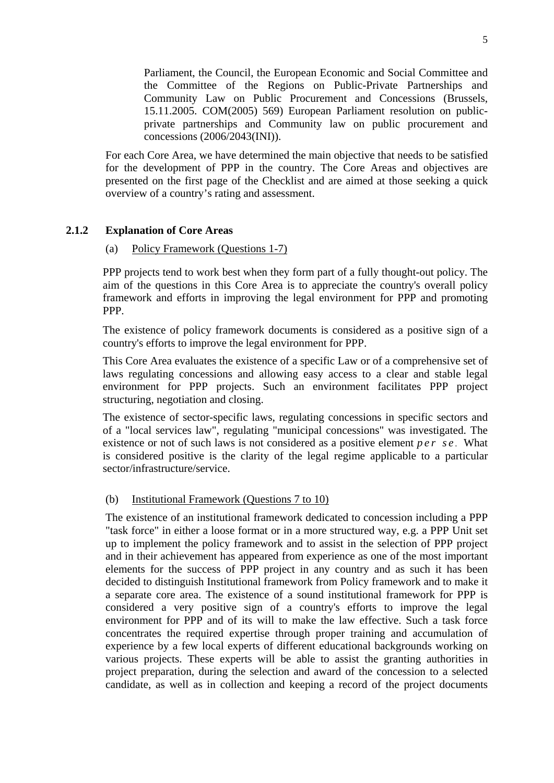Parliament, the Council, the European Economic and Social Committee and the Committee of the Regions on Public-Private Partnerships and Community Law on Public Procurement and Concessions (Brussels, 15.11.2005. COM(2005) 569) European Parliament resolution on publicprivate partnerships and Community law on public procurement and concessions (2006/2043(INI)).

For each Core Area, we have determined the main objective that needs to be satisfied for the development of PPP in the country. The Core Areas and objectives are presented on the first page of the Checklist and are aimed at those seeking a quick overview of a country's rating and assessment.

# **2.1.2 Explanation of Core Areas**

#### (a) Policy Framework (Questions 1-7)

PPP projects tend to work best when they form part of a fully thought-out policy. The aim of the questions in this Core Area is to appreciate the country's overall policy framework and efforts in improving the legal environment for PPP and promoting PPP.

The existence of policy framework documents is considered as a positive sign of a country's efforts to improve the legal environment for PPP.

This Core Area evaluates the existence of a specific Law or of a comprehensive set of laws regulating concessions and allowing easy access to a clear and stable legal environment for PPP projects. Such an environment facilitates PPP project structuring, negotiation and closing.

The existence of sector-specific laws, regulating concessions in specific sectors and of a "local services law", regulating "municipal concessions" was investigated. The existence or not of such laws is not considered as a positive element *per se .* What is considered positive is the clarity of the legal regime applicable to a particular sector/infrastructure/service.

## (b) Institutional Framework (Questions 7 to 10)

The existence of an institutional framework dedicated to concession including a PPP "task force" in either a loose format or in a more structured way, e.g. a PPP Unit set up to implement the policy framework and to assist in the selection of PPP project and in their achievement has appeared from experience as one of the most important elements for the success of PPP project in any country and as such it has been decided to distinguish Institutional framework from Policy framework and to make it a separate core area. The existence of a sound institutional framework for PPP is considered a very positive sign of a country's efforts to improve the legal environment for PPP and of its will to make the law effective. Such a task force concentrates the required expertise through proper training and accumulation of experience by a few local experts of different educational backgrounds working on various projects. These experts will be able to assist the granting authorities in project preparation, during the selection and award of the concession to a selected candidate, as well as in collection and keeping a record of the project documents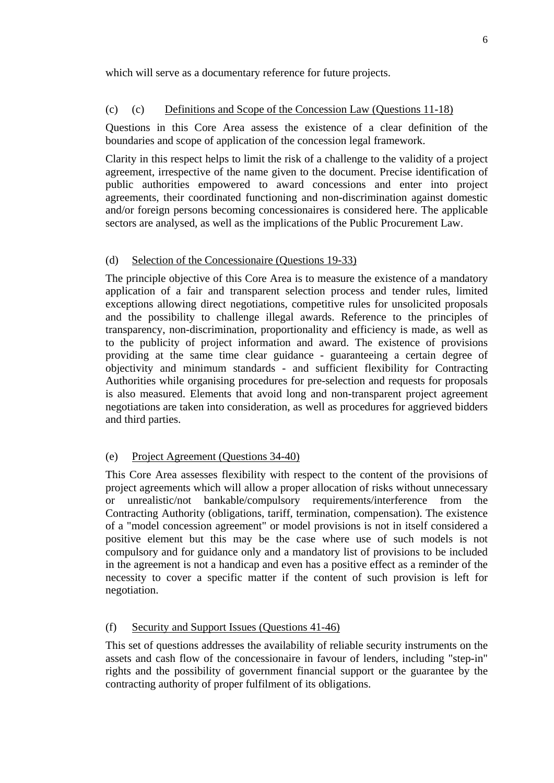which will serve as a documentary reference for future projects.

## (c) (c) Definitions and Scope of the Concession Law (Questions 11-18)

Questions in this Core Area assess the existence of a clear definition of the boundaries and scope of application of the concession legal framework.

Clarity in this respect helps to limit the risk of a challenge to the validity of a project agreement, irrespective of the name given to the document. Precise identification of public authorities empowered to award concessions and enter into project agreements, their coordinated functioning and non-discrimination against domestic and/or foreign persons becoming concessionaires is considered here. The applicable sectors are analysed, as well as the implications of the Public Procurement Law.

## (d) Selection of the Concessionaire (Questions 19-33)

The principle objective of this Core Area is to measure the existence of a mandatory application of a fair and transparent selection process and tender rules, limited exceptions allowing direct negotiations, competitive rules for unsolicited proposals and the possibility to challenge illegal awards. Reference to the principles of transparency, non-discrimination, proportionality and efficiency is made, as well as to the publicity of project information and award. The existence of provisions providing at the same time clear guidance - guaranteeing a certain degree of objectivity and minimum standards - and sufficient flexibility for Contracting Authorities while organising procedures for pre-selection and requests for proposals is also measured. Elements that avoid long and non-transparent project agreement negotiations are taken into consideration, as well as procedures for aggrieved bidders and third parties.

#### (e) Project Agreement (Questions 34-40)

This Core Area assesses flexibility with respect to the content of the provisions of project agreements which will allow a proper allocation of risks without unnecessary or unrealistic/not bankable/compulsory requirements/interference from the Contracting Authority (obligations, tariff, termination, compensation). The existence of a "model concession agreement" or model provisions is not in itself considered a positive element but this may be the case where use of such models is not compulsory and for guidance only and a mandatory list of provisions to be included in the agreement is not a handicap and even has a positive effect as a reminder of the necessity to cover a specific matter if the content of such provision is left for negotiation.

## (f) Security and Support Issues (Questions 41-46)

This set of questions addresses the availability of reliable security instruments on the assets and cash flow of the concessionaire in favour of lenders, including "step-in" rights and the possibility of government financial support or the guarantee by the contracting authority of proper fulfilment of its obligations.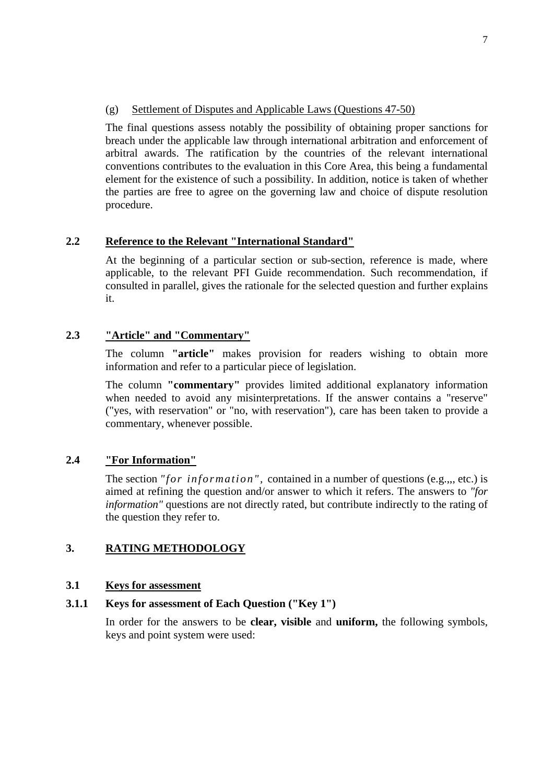#### (g) Settlement of Disputes and Applicable Laws (Questions 47-50)

The final questions assess notably the possibility of obtaining proper sanctions for breach under the applicable law through international arbitration and enforcement of arbitral awards. The ratification by the countries of the relevant international conventions contributes to the evaluation in this Core Area, this being a fundamental element for the existence of such a possibility. In addition, notice is taken of whether the parties are free to agree on the governing law and choice of dispute resolution procedure.

# **2.2 Reference to the Relevant "International Standard"**

At the beginning of a particular section or sub-section, reference is made, where applicable, to the relevant PFI Guide recommendation. Such recommendation, if consulted in parallel, gives the rationale for the selected question and further explains it.

## **2.3 "Article" and "Commentary"**

The column **"article"** makes provision for readers wishing to obtain more information and refer to a particular piece of legislation.

The column **"commentary"** provides limited additional explanatory information when needed to avoid any misinterpretations. If the answer contains a "reserve" ("yes, with reservation" or "no, with reservation"), care has been taken to provide a commentary, whenever possible.

## **2.4 "For Information"**

The section *"for information",* contained in a number of questions (e.g.,,, etc.) is aimed at refining the question and/or answer to which it refers. The answers to *"for information"* questions are not directly rated, but contribute indirectly to the rating of the question they refer to.

# **3. RATING METHODOLOGY**

## **3.1 Keys for assessment**

## **3.1.1 Keys for assessment of Each Question ("Key 1")**

In order for the answers to be **clear, visible** and **uniform,** the following symbols, keys and point system were used: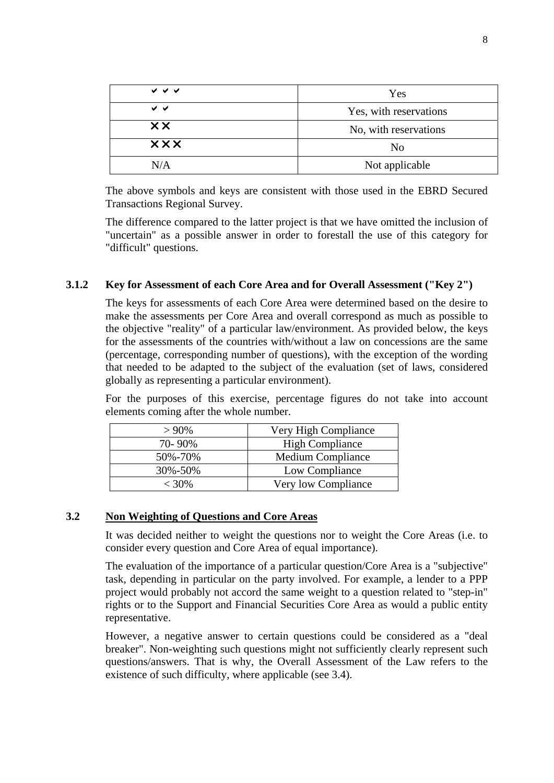| マママ            | Yes                    |
|----------------|------------------------|
| ✓ ✓            | Yes, with reservations |
| $\times\times$ | No, with reservations  |
| <b>xxx</b>     | N <sub>0</sub>         |
| N/A            | Not applicable         |

The above symbols and keys are consistent with those used in the EBRD Secured Transactions Regional Survey.

The difference compared to the latter project is that we have omitted the inclusion of "uncertain" as a possible answer in order to forestall the use of this category for "difficult" questions.

# **3.1.2 Key for Assessment of each Core Area and for Overall Assessment ("Key 2")**

The keys for assessments of each Core Area were determined based on the desire to make the assessments per Core Area and overall correspond as much as possible to the objective "reality" of a particular law/environment. As provided below, the keys for the assessments of the countries with/without a law on concessions are the same (percentage, corresponding number of questions), with the exception of the wording that needed to be adapted to the subject of the evaluation (set of laws, considered globally as representing a particular environment).

For the purposes of this exercise, percentage figures do not take into account elements coming after the whole number.

| $>90\%$ | Very High Compliance     |  |  |
|---------|--------------------------|--|--|
| 70-90%  | <b>High Compliance</b>   |  |  |
| 50%-70% | <b>Medium Compliance</b> |  |  |
| 30%-50% | Low Compliance           |  |  |
| $<$ 30% | Very low Compliance      |  |  |

# **3.2 Non Weighting of Questions and Core Areas**

It was decided neither to weight the questions nor to weight the Core Areas (i.e. to consider every question and Core Area of equal importance).

The evaluation of the importance of a particular question/Core Area is a "subjective" task, depending in particular on the party involved. For example, a lender to a PPP project would probably not accord the same weight to a question related to "step-in" rights or to the Support and Financial Securities Core Area as would a public entity representative.

However, a negative answer to certain questions could be considered as a "deal breaker". Non-weighting such questions might not sufficiently clearly represent such questions/answers. That is why, the Overall Assessment of the Law refers to the existence of such difficulty, where applicable (see 3.4).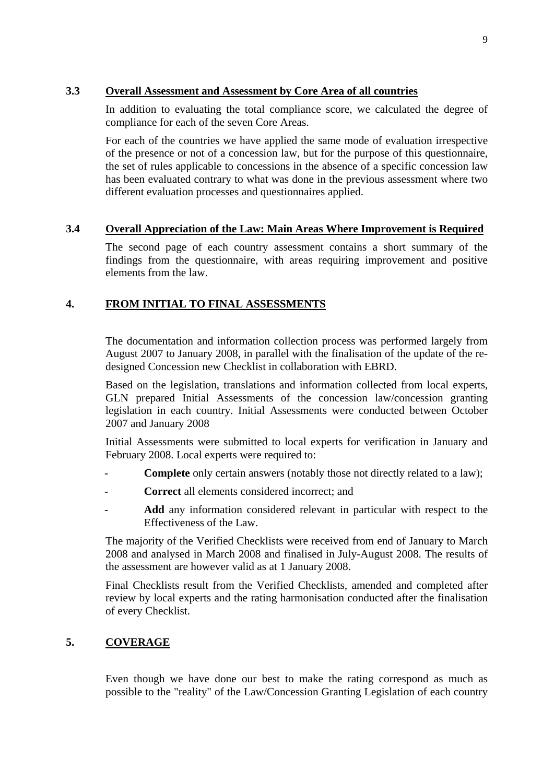# **3.3 Overall Assessment and Assessment by Core Area of all countries**

In addition to evaluating the total compliance score, we calculated the degree of compliance for each of the seven Core Areas.

For each of the countries we have applied the same mode of evaluation irrespective of the presence or not of a concession law, but for the purpose of this questionnaire, the set of rules applicable to concessions in the absence of a specific concession law has been evaluated contrary to what was done in the previous assessment where two different evaluation processes and questionnaires applied.

# **3.4 Overall Appreciation of the Law: Main Areas Where Improvement is Required**

The second page of each country assessment contains a short summary of the findings from the questionnaire, with areas requiring improvement and positive elements from the law.

# **4. FROM INITIAL TO FINAL ASSESSMENTS**

The documentation and information collection process was performed largely from August 2007 to January 2008, in parallel with the finalisation of the update of the redesigned Concession new Checklist in collaboration with EBRD.

Based on the legislation, translations and information collected from local experts, GLN prepared Initial Assessments of the concession law/concession granting legislation in each country. Initial Assessments were conducted between October 2007 and January 2008

Initial Assessments were submitted to local experts for verification in January and February 2008. Local experts were required to:

- **Complete** only certain answers (notably those not directly related to a law);
- Correct all elements considered incorrect; and
- Add any information considered relevant in particular with respect to the Effectiveness of the Law.

The majority of the Verified Checklists were received from end of January to March 2008 and analysed in March 2008 and finalised in July-August 2008. The results of the assessment are however valid as at 1 January 2008.

Final Checklists result from the Verified Checklists, amended and completed after review by local experts and the rating harmonisation conducted after the finalisation of every Checklist.

# **5. COVERAGE**

Even though we have done our best to make the rating correspond as much as possible to the "reality" of the Law/Concession Granting Legislation of each country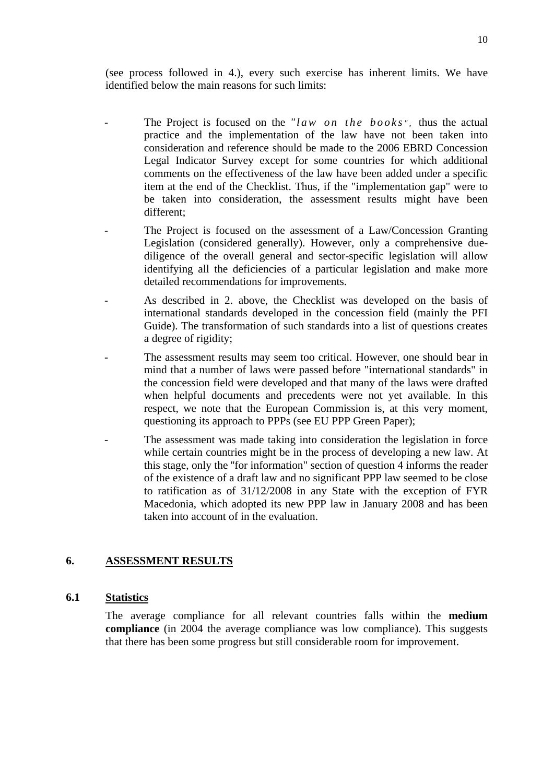(see process followed in 4.), every such exercise has inherent limits. We have identified below the main reasons for such limits:

- The Project is focused on the *"law on the books"*, thus the actual practice and the implementation of the law have not been taken into consideration and reference should be made to the 2006 EBRD Concession Legal Indicator Survey except for some countries for which additional comments on the effectiveness of the law have been added under a specific item at the end of the Checklist. Thus, if the "implementation gap" were to be taken into consideration, the assessment results might have been different;
- The Project is focused on the assessment of a Law/Concession Granting Legislation (considered generally). However, only a comprehensive duediligence of the overall general and sector-specific legislation will allow identifying all the deficiencies of a particular legislation and make more detailed recommendations for improvements.
- As described in 2. above, the Checklist was developed on the basis of international standards developed in the concession field (mainly the PFI Guide). The transformation of such standards into a list of questions creates a degree of rigidity;
- The assessment results may seem too critical. However, one should bear in mind that a number of laws were passed before "international standards" in the concession field were developed and that many of the laws were drafted when helpful documents and precedents were not yet available. In this respect, we note that the European Commission is, at this very moment, questioning its approach to PPPs (see EU PPP Green Paper);
	- The assessment was made taking into consideration the legislation in force while certain countries might be in the process of developing a new law. At this stage, only the ''for information" section of question 4 informs the reader of the existence of a draft law and no significant PPP law seemed to be close to ratification as of 31/12/2008 in any State with the exception of FYR Macedonia, which adopted its new PPP law in January 2008 and has been taken into account of in the evaluation.

# **6. ASSESSMENT RESULTS**

## **6.1 Statistics**

The average compliance for all relevant countries falls within the **medium compliance** (in 2004 the average compliance was low compliance). This suggests that there has been some progress but still considerable room for improvement.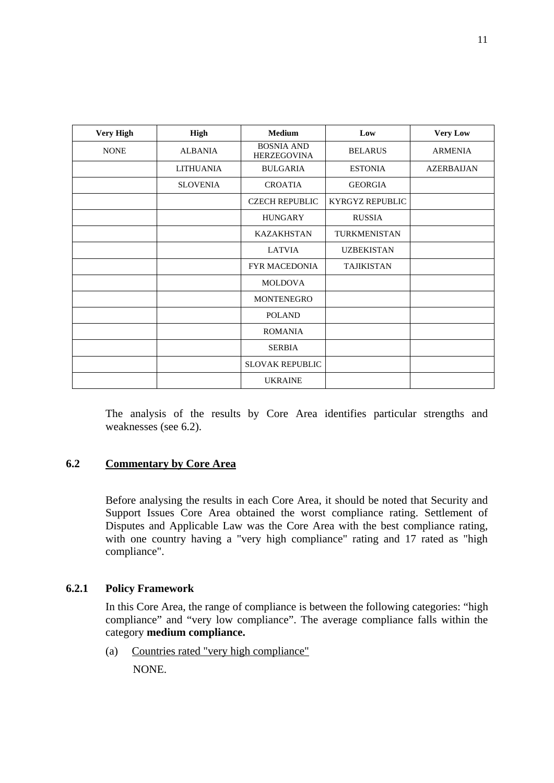| <b>Very High</b> | <b>High</b>      | <b>Medium</b>                           | Low                    | <b>Very Low</b>   |
|------------------|------------------|-----------------------------------------|------------------------|-------------------|
| <b>NONE</b>      | <b>ALBANIA</b>   | <b>BOSNIA AND</b><br><b>HERZEGOVINA</b> | <b>BELARUS</b>         | <b>ARMENIA</b>    |
|                  | <b>LITHUANIA</b> | <b>BULGARIA</b>                         | <b>ESTONIA</b>         | <b>AZERBAIJAN</b> |
|                  | <b>SLOVENIA</b>  | <b>CROATIA</b>                          | <b>GEORGIA</b>         |                   |
|                  |                  | <b>CZECH REPUBLIC</b>                   | <b>KYRGYZ REPUBLIC</b> |                   |
|                  |                  | <b>HUNGARY</b>                          | <b>RUSSIA</b>          |                   |
|                  |                  | <b>KAZAKHSTAN</b>                       | TURKMENISTAN           |                   |
|                  |                  | <b>LATVIA</b>                           | <b>UZBEKISTAN</b>      |                   |
|                  |                  | <b>FYR MACEDONIA</b>                    | <b>TAJIKISTAN</b>      |                   |
|                  |                  | <b>MOLDOVA</b>                          |                        |                   |
|                  |                  | MONTENEGRO                              |                        |                   |
|                  |                  | <b>POLAND</b>                           |                        |                   |
|                  |                  | <b>ROMANIA</b>                          |                        |                   |
|                  |                  | <b>SERBIA</b>                           |                        |                   |
|                  |                  | <b>SLOVAK REPUBLIC</b>                  |                        |                   |
|                  |                  | <b>UKRAINE</b>                          |                        |                   |

The analysis of the results by Core Area identifies particular strengths and weaknesses (see 6.2).

# **6.2 Commentary by Core Area**

Before analysing the results in each Core Area, it should be noted that Security and Support Issues Core Area obtained the worst compliance rating. Settlement of Disputes and Applicable Law was the Core Area with the best compliance rating, with one country having a "very high compliance" rating and 17 rated as "high compliance".

## **6.2.1 Policy Framework**

In this Core Area, the range of compliance is between the following categories: "high compliance" and "very low compliance". The average compliance falls within the category **medium compliance.** 

(a) Countries rated "very high compliance" NONE.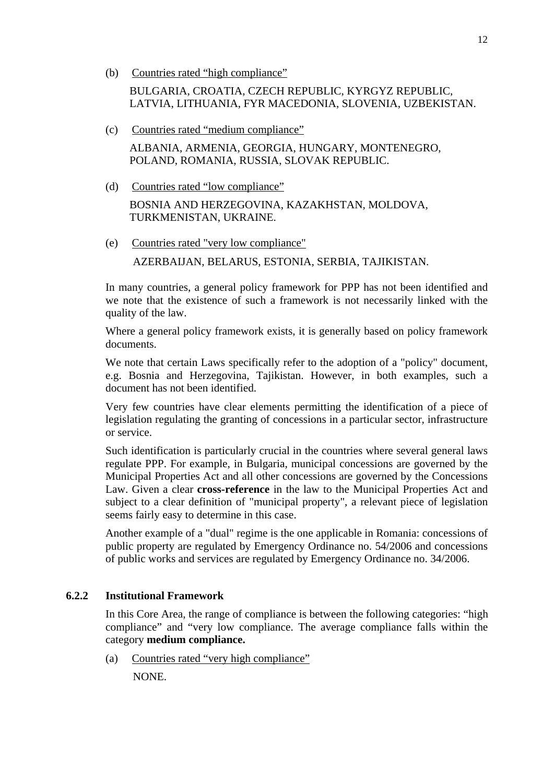(b) Countries rated "high compliance"

BULGARIA, CROATIA, CZECH REPUBLIC, KYRGYZ REPUBLIC, LATVIA, LITHUANIA, FYR MACEDONIA, SLOVENIA, UZBEKISTAN.

- (c) Countries rated "medium compliance" ALBANIA, ARMENIA, GEORGIA, HUNGARY, MONTENEGRO, POLAND, ROMANIA, RUSSIA, SLOVAK REPUBLIC.
- (d) Countries rated "low compliance" BOSNIA AND HERZEGOVINA, KAZAKHSTAN, MOLDOVA, TURKMENISTAN, UKRAINE.
- (e) Countries rated "very low compliance" AZERBAIJAN, BELARUS, ESTONIA, SERBIA, TAJIKISTAN.

In many countries, a general policy framework for PPP has not been identified and we note that the existence of such a framework is not necessarily linked with the quality of the law.

Where a general policy framework exists, it is generally based on policy framework documents.

We note that certain Laws specifically refer to the adoption of a "policy" document, e.g. Bosnia and Herzegovina, Tajikistan. However, in both examples, such a document has not been identified.

Very few countries have clear elements permitting the identification of a piece of legislation regulating the granting of concessions in a particular sector, infrastructure or service.

Such identification is particularly crucial in the countries where several general laws regulate PPP. For example, in Bulgaria, municipal concessions are governed by the Municipal Properties Act and all other concessions are governed by the Concessions Law. Given a clear **cross-reference** in the law to the Municipal Properties Act and subject to a clear definition of "municipal property", a relevant piece of legislation seems fairly easy to determine in this case.

Another example of a "dual" regime is the one applicable in Romania: concessions of public property are regulated by Emergency Ordinance no. 54/2006 and concessions of public works and services are regulated by Emergency Ordinance no. 34/2006.

# **6.2.2 Institutional Framework**

In this Core Area, the range of compliance is between the following categories: "high compliance" and "very low compliance. The average compliance falls within the category **medium compliance.**

(a) Countries rated "very high compliance"

NONE.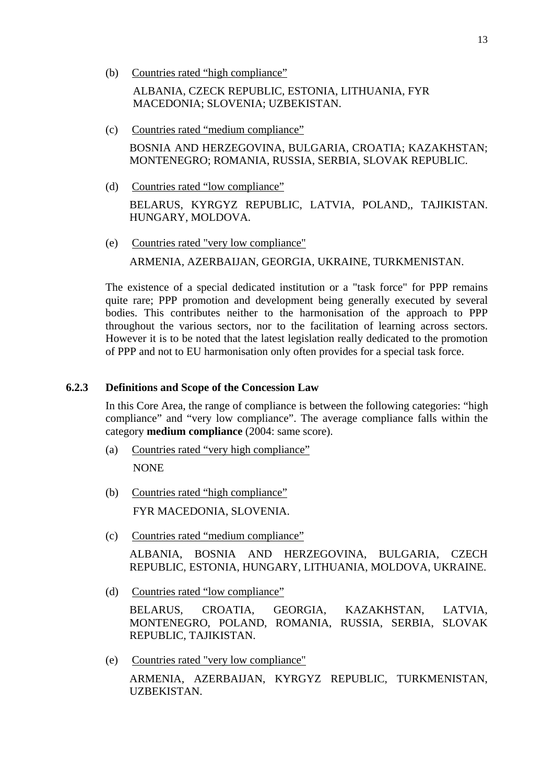(b) Countries rated "high compliance"

ALBANIA, CZECK REPUBLIC, ESTONIA, LITHUANIA, FYR MACEDONIA; SLOVENIA; UZBEKISTAN.

- (c) Countries rated "medium compliance" BOSNIA AND HERZEGOVINA, BULGARIA, CROATIA; KAZAKHSTAN; MONTENEGRO; ROMANIA, RUSSIA, SERBIA, SLOVAK REPUBLIC.
- (d) Countries rated "low compliance" BELARUS, KYRGYZ REPUBLIC, LATVIA, POLAND,, TAJIKISTAN. HUNGARY, MOLDOVA.
- (e) Countries rated "very low compliance" ARMENIA, AZERBAIJAN, GEORGIA, UKRAINE, TURKMENISTAN.

The existence of a special dedicated institution or a "task force" for PPP remains quite rare; PPP promotion and development being generally executed by several bodies. This contributes neither to the harmonisation of the approach to PPP throughout the various sectors, nor to the facilitation of learning across sectors. However it is to be noted that the latest legislation really dedicated to the promotion of PPP and not to EU harmonisation only often provides for a special task force.

# **6.2.3 Definitions and Scope of the Concession Law**

In this Core Area, the range of compliance is between the following categories: "high compliance" and "very low compliance". The average compliance falls within the category **medium compliance** (2004: same score).

- (a) Countries rated "very high compliance" NONE
- (b) Countries rated "high compliance" FYR MACEDONIA, SLOVENIA.
- (c) Countries rated "medium compliance" ALBANIA, BOSNIA AND HERZEGOVINA, BULGARIA, CZECH REPUBLIC, ESTONIA, HUNGARY, LITHUANIA, MOLDOVA, UKRAINE.
- (d) Countries rated "low compliance"

BELARUS, CROATIA, GEORGIA, KAZAKHSTAN, LATVIA, MONTENEGRO, POLAND, ROMANIA, RUSSIA, SERBIA, SLOVAK REPUBLIC, TAJIKISTAN.

(e) Countries rated "very low compliance"

ARMENIA, AZERBAIJAN, KYRGYZ REPUBLIC, TURKMENISTAN, UZBEKISTAN.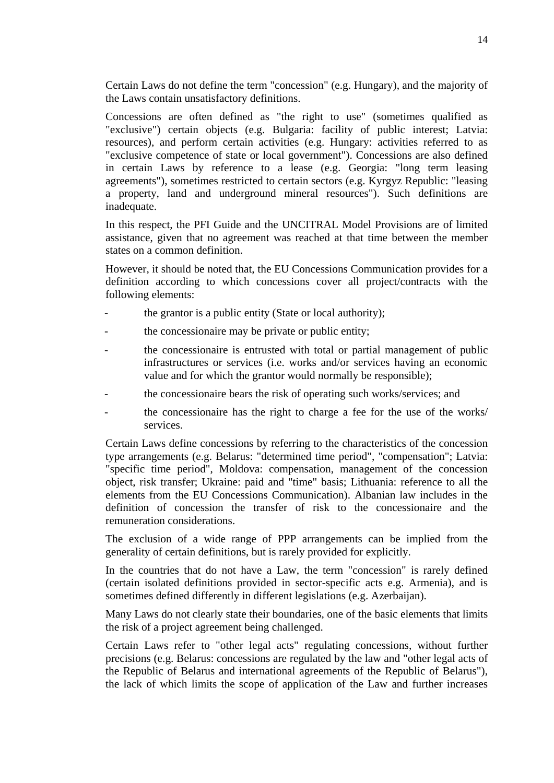Certain Laws do not define the term "concession" (e.g. Hungary), and the majority of the Laws contain unsatisfactory definitions.

Concessions are often defined as "the right to use" (sometimes qualified as "exclusive") certain objects (e.g. Bulgaria: facility of public interest; Latvia: resources), and perform certain activities (e.g. Hungary: activities referred to as "exclusive competence of state or local government"). Concessions are also defined in certain Laws by reference to a lease (e.g. Georgia: "long term leasing agreements"), sometimes restricted to certain sectors (e.g. Kyrgyz Republic: "leasing a property, land and underground mineral resources"). Such definitions are inadequate.

In this respect, the PFI Guide and the UNCITRAL Model Provisions are of limited assistance, given that no agreement was reached at that time between the member states on a common definition.

However, it should be noted that, the EU Concessions Communication provides for a definition according to which concessions cover all project/contracts with the following elements:

- the grantor is a public entity (State or local authority);
- the concessionaire may be private or public entity;
- the concessionaire is entrusted with total or partial management of public infrastructures or services (i.e. works and/or services having an economic value and for which the grantor would normally be responsible);
- the concessionaire bears the risk of operating such works/services; and
- the concessionaire has the right to charge a fee for the use of the works/ services.

Certain Laws define concessions by referring to the characteristics of the concession type arrangements (e.g. Belarus: "determined time period", "compensation"; Latvia: "specific time period", Moldova: compensation, management of the concession object, risk transfer; Ukraine: paid and "time" basis; Lithuania: reference to all the elements from the EU Concessions Communication). Albanian law includes in the definition of concession the transfer of risk to the concessionaire and the remuneration considerations.

The exclusion of a wide range of PPP arrangements can be implied from the generality of certain definitions, but is rarely provided for explicitly.

In the countries that do not have a Law, the term "concession" is rarely defined (certain isolated definitions provided in sector-specific acts e.g. Armenia), and is sometimes defined differently in different legislations (e.g. Azerbaijan).

Many Laws do not clearly state their boundaries, one of the basic elements that limits the risk of a project agreement being challenged.

Certain Laws refer to "other legal acts" regulating concessions, without further precisions (e.g. Belarus: concessions are regulated by the law and "other legal acts of the Republic of Belarus and international agreements of the Republic of Belarus"), the lack of which limits the scope of application of the Law and further increases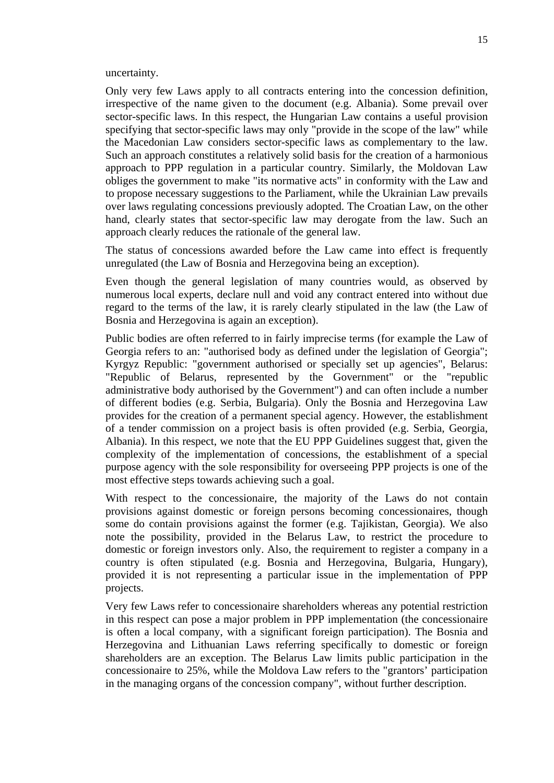uncertainty.

Only very few Laws apply to all contracts entering into the concession definition, irrespective of the name given to the document (e.g. Albania). Some prevail over sector-specific laws. In this respect, the Hungarian Law contains a useful provision specifying that sector-specific laws may only "provide in the scope of the law" while the Macedonian Law considers sector-specific laws as complementary to the law. Such an approach constitutes a relatively solid basis for the creation of a harmonious approach to PPP regulation in a particular country. Similarly, the Moldovan Law obliges the government to make "its normative acts" in conformity with the Law and to propose necessary suggestions to the Parliament, while the Ukrainian Law prevails over laws regulating concessions previously adopted. The Croatian Law, on the other hand, clearly states that sector-specific law may derogate from the law. Such an approach clearly reduces the rationale of the general law.

The status of concessions awarded before the Law came into effect is frequently unregulated (the Law of Bosnia and Herzegovina being an exception).

Even though the general legislation of many countries would, as observed by numerous local experts, declare null and void any contract entered into without due regard to the terms of the law, it is rarely clearly stipulated in the law (the Law of Bosnia and Herzegovina is again an exception).

Public bodies are often referred to in fairly imprecise terms (for example the Law of Georgia refers to an: "authorised body as defined under the legislation of Georgia"; Kyrgyz Republic: "government authorised or specially set up agencies", Belarus: "Republic of Belarus, represented by the Government" or the "republic administrative body authorised by the Government") and can often include a number of different bodies (e.g. Serbia, Bulgaria). Only the Bosnia and Herzegovina Law provides for the creation of a permanent special agency. However, the establishment of a tender commission on a project basis is often provided (e.g. Serbia, Georgia, Albania). In this respect, we note that the EU PPP Guidelines suggest that, given the complexity of the implementation of concessions, the establishment of a special purpose agency with the sole responsibility for overseeing PPP projects is one of the most effective steps towards achieving such a goal.

With respect to the concessionaire, the majority of the Laws do not contain provisions against domestic or foreign persons becoming concessionaires, though some do contain provisions against the former (e.g. Tajikistan, Georgia). We also note the possibility, provided in the Belarus Law, to restrict the procedure to domestic or foreign investors only. Also, the requirement to register a company in a country is often stipulated (e.g. Bosnia and Herzegovina, Bulgaria, Hungary), provided it is not representing a particular issue in the implementation of PPP projects.

Very few Laws refer to concessionaire shareholders whereas any potential restriction in this respect can pose a major problem in PPP implementation (the concessionaire is often a local company, with a significant foreign participation). The Bosnia and Herzegovina and Lithuanian Laws referring specifically to domestic or foreign shareholders are an exception. The Belarus Law limits public participation in the concessionaire to 25%, while the Moldova Law refers to the "grantors' participation in the managing organs of the concession company", without further description.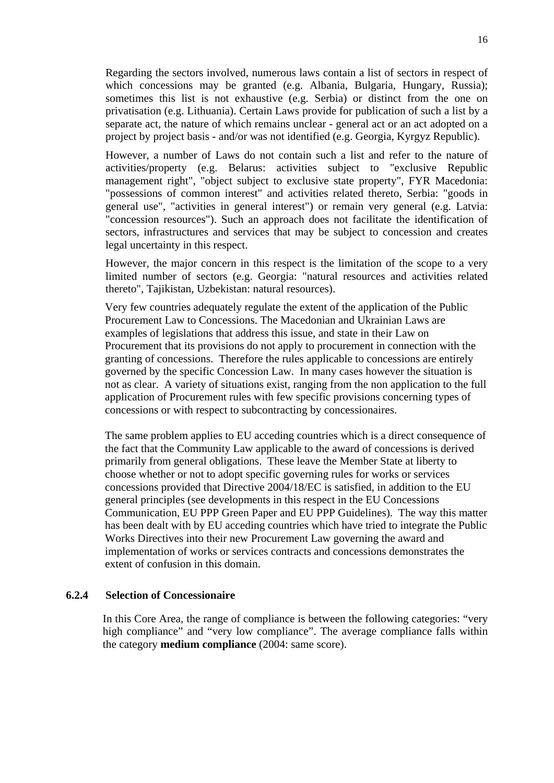Regarding the sectors involved, numerous laws contain a list of sectors in respect of which concessions may be granted (e.g. Albania, Bulgaria, Hungary, Russia); sometimes this list is not exhaustive (e.g. Serbia) or distinct from the one on privatisation (e.g. Lithuania). Certain Laws provide for publication of such a list by a separate act, the nature of which remains unclear - general act or an act adopted on a project by project basis - and/or was not identified (e.g. Georgia, Kyrgyz Republic).

However, a number of Laws do not contain such a list and refer to the nature of activities/property (e.g. Belarus: activities subject to "exclusive Republic management right", "object subject to exclusive state property", FYR Macedonia: "possessions of common interest" and activities related thereto, Serbia: "goods in general use", "activities in general interest") or remain very general (e.g. Latvia: "concession resources"). Such an approach does not facilitate the identification of sectors, infrastructures and services that may be subject to concession and creates legal uncertainty in this respect.

However, the major concern in this respect is the limitation of the scope to a very limited number of sectors (e.g. Georgia: "natural resources and activities related thereto", Tajikistan, Uzbekistan: natural resources).

Very few countries adequately regulate the extent of the application of the Public Procurement Law to Concessions. The Macedonian and Ukrainian Laws are examples of legislations that address this issue, and state in their Law on Procurement that its provisions do not apply to procurement in connection with the granting of concessions. Therefore the rules applicable to concessions are entirely governed by the specific Concession Law. In many cases however the situation is not as clear. A variety of situations exist, ranging from the non application to the full application of Procurement rules with few specific provisions concerning types of concessions or with respect to subcontracting by concessionaires.

The same problem applies to EU acceding countries which is a direct consequence of the fact that the Community Law applicable to the award of concessions is derived primarily from general obligations. These leave the Member State at liberty to choose whether or not to adopt specific governing rules for works or services concessions provided that Directive 2004/18/EC is satisfied, in addition to the EU general principles (see developments in this respect in the EU Concessions Communication, EU PPP Green Paper and EU PPP Guidelines).The way this matter has been dealt with by EU acceding countries which have tried to integrate the Public Works Directives into their new Procurement Law governing the award and implementation of works or services contracts and concessions demonstrates the extent of confusion in this domain.

#### **6.2.4 Selection of Concessionaire**

In this Core Area, the range of compliance is between the following categories: "very high compliance" and "very low compliance". The average compliance falls within the category **medium compliance** (2004: same score).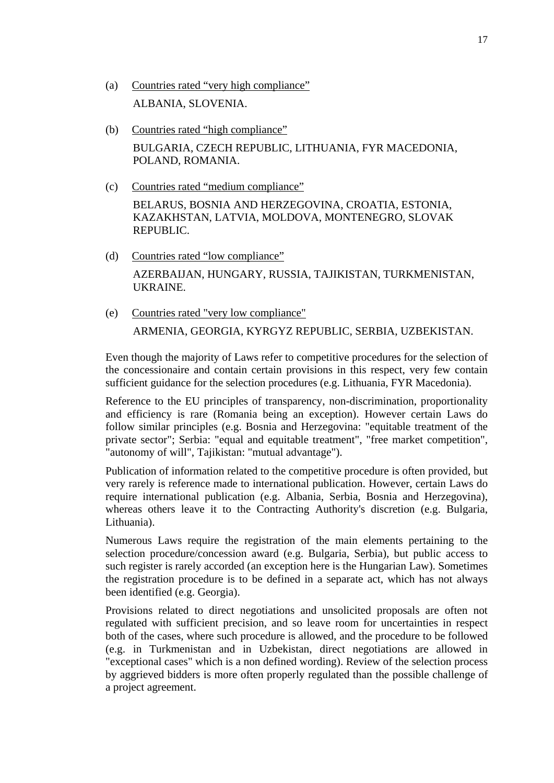- (a) Countries rated "very high compliance" ALBANIA, SLOVENIA.
- (b) Countries rated "high compliance" BULGARIA, CZECH REPUBLIC, LITHUANIA, FYR MACEDONIA, POLAND, ROMANIA.
- (c) Countries rated "medium compliance" BELARUS, BOSNIA AND HERZEGOVINA, CROATIA, ESTONIA, KAZAKHSTAN, LATVIA, MOLDOVA, MONTENEGRO, SLOVAK REPUBLIC.
- (d) Countries rated "low compliance" AZERBAIJAN, HUNGARY, RUSSIA, TAJIKISTAN, TURKMENISTAN, UKRAINE.
- (e) Countries rated "very low compliance" ARMENIA, GEORGIA, KYRGYZ REPUBLIC, SERBIA, UZBEKISTAN.

Even though the majority of Laws refer to competitive procedures for the selection of the concessionaire and contain certain provisions in this respect, very few contain sufficient guidance for the selection procedures (e.g. Lithuania, FYR Macedonia).

Reference to the EU principles of transparency, non-discrimination, proportionality and efficiency is rare (Romania being an exception). However certain Laws do follow similar principles (e.g. Bosnia and Herzegovina: "equitable treatment of the private sector"; Serbia: "equal and equitable treatment", "free market competition", "autonomy of will", Tajikistan: "mutual advantage").

Publication of information related to the competitive procedure is often provided, but very rarely is reference made to international publication. However, certain Laws do require international publication (e.g. Albania, Serbia, Bosnia and Herzegovina), whereas others leave it to the Contracting Authority's discretion (e.g. Bulgaria, Lithuania).

Numerous Laws require the registration of the main elements pertaining to the selection procedure/concession award (e.g. Bulgaria, Serbia), but public access to such register is rarely accorded (an exception here is the Hungarian Law). Sometimes the registration procedure is to be defined in a separate act, which has not always been identified (e.g. Georgia).

Provisions related to direct negotiations and unsolicited proposals are often not regulated with sufficient precision, and so leave room for uncertainties in respect both of the cases, where such procedure is allowed, and the procedure to be followed (e.g. in Turkmenistan and in Uzbekistan, direct negotiations are allowed in "exceptional cases" which is a non defined wording). Review of the selection process by aggrieved bidders is more often properly regulated than the possible challenge of a project agreement.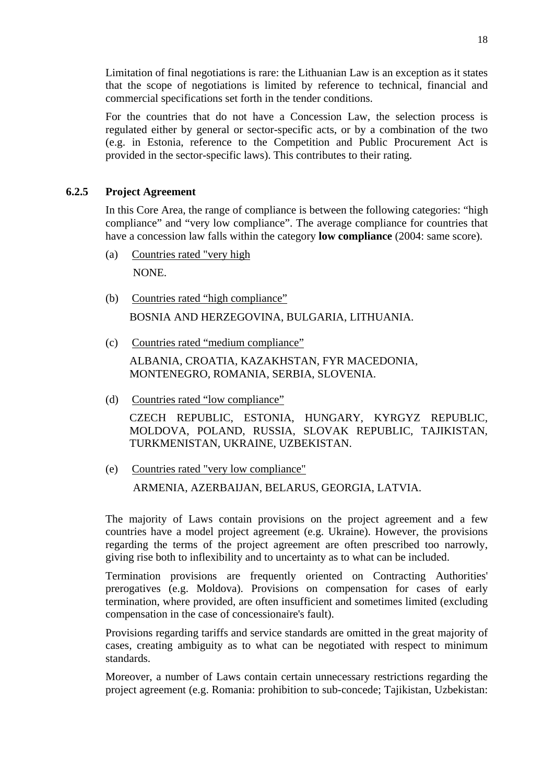Limitation of final negotiations is rare: the Lithuanian Law is an exception as it states that the scope of negotiations is limited by reference to technical, financial and commercial specifications set forth in the tender conditions.

For the countries that do not have a Concession Law, the selection process is regulated either by general or sector-specific acts, or by a combination of the two (e.g. in Estonia, reference to the Competition and Public Procurement Act is provided in the sector-specific laws). This contributes to their rating.

# **6.2.5 Project Agreement**

In this Core Area, the range of compliance is between the following categories: "high compliance" and "very low compliance". The average compliance for countries that have a concession law falls within the category **low compliance** (2004: same score).

(a) Countries rated "very high

NONE.

(b) Countries rated "high compliance"

BOSNIA AND HERZEGOVINA, BULGARIA, LITHUANIA.

(c) Countries rated "medium compliance"

ALBANIA, CROATIA, KAZAKHSTAN, FYR MACEDONIA, MONTENEGRO, ROMANIA, SERBIA, SLOVENIA.

(d) Countries rated "low compliance"

CZECH REPUBLIC, ESTONIA, HUNGARY, KYRGYZ REPUBLIC, MOLDOVA, POLAND, RUSSIA, SLOVAK REPUBLIC, TAJIKISTAN, TURKMENISTAN, UKRAINE, UZBEKISTAN.

(e) Countries rated "very low compliance" ARMENIA, AZERBAIJAN, BELARUS, GEORGIA, LATVIA.

The majority of Laws contain provisions on the project agreement and a few countries have a model project agreement (e.g. Ukraine). However, the provisions regarding the terms of the project agreement are often prescribed too narrowly, giving rise both to inflexibility and to uncertainty as to what can be included.

Termination provisions are frequently oriented on Contracting Authorities' prerogatives (e.g. Moldova). Provisions on compensation for cases of early termination, where provided, are often insufficient and sometimes limited (excluding compensation in the case of concessionaire's fault).

Provisions regarding tariffs and service standards are omitted in the great majority of cases, creating ambiguity as to what can be negotiated with respect to minimum standards.

Moreover, a number of Laws contain certain unnecessary restrictions regarding the project agreement (e.g. Romania: prohibition to sub-concede; Tajikistan, Uzbekistan: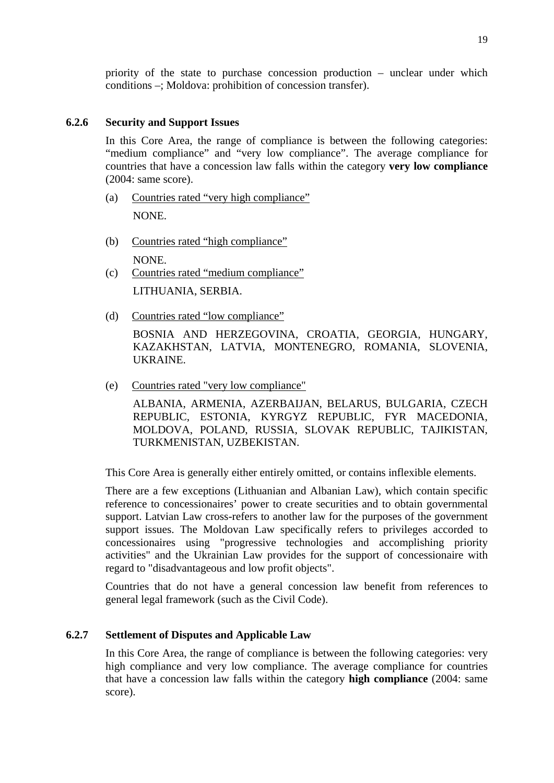priority of the state to purchase concession production – unclear under which conditions –; Moldova: prohibition of concession transfer).

# **6.2.6 Security and Support Issues**

In this Core Area, the range of compliance is between the following categories: "medium compliance" and "very low compliance". The average compliance for countries that have a concession law falls within the category **very low compliance**  (2004: same score).

- (a) Countries rated "very high compliance" NONE.
- (b) Countries rated "high compliance" NONE.
- (c) Countries rated "medium compliance" LITHUANIA, SERBIA.
- (d) Countries rated "low compliance"

BOSNIA AND HERZEGOVINA, CROATIA, GEORGIA, HUNGARY, KAZAKHSTAN, LATVIA, MONTENEGRO, ROMANIA, SLOVENIA, UKRAINE.

(e) Countries rated "very low compliance"

ALBANIA, ARMENIA, AZERBAIJAN, BELARUS, BULGARIA, CZECH REPUBLIC, ESTONIA, KYRGYZ REPUBLIC, FYR MACEDONIA, MOLDOVA, POLAND, RUSSIA, SLOVAK REPUBLIC, TAJIKISTAN, TURKMENISTAN, UZBEKISTAN.

This Core Area is generally either entirely omitted, or contains inflexible elements.

There are a few exceptions (Lithuanian and Albanian Law), which contain specific reference to concessionaires' power to create securities and to obtain governmental support. Latvian Law cross-refers to another law for the purposes of the government support issues. The Moldovan Law specifically refers to privileges accorded to concessionaires using "progressive technologies and accomplishing priority activities" and the Ukrainian Law provides for the support of concessionaire with regard to "disadvantageous and low profit objects".

Countries that do not have a general concession law benefit from references to general legal framework (such as the Civil Code).

# **6.2.7 Settlement of Disputes and Applicable Law**

In this Core Area, the range of compliance is between the following categories: very high compliance and very low compliance. The average compliance for countries that have a concession law falls within the category **high compliance** (2004: same score).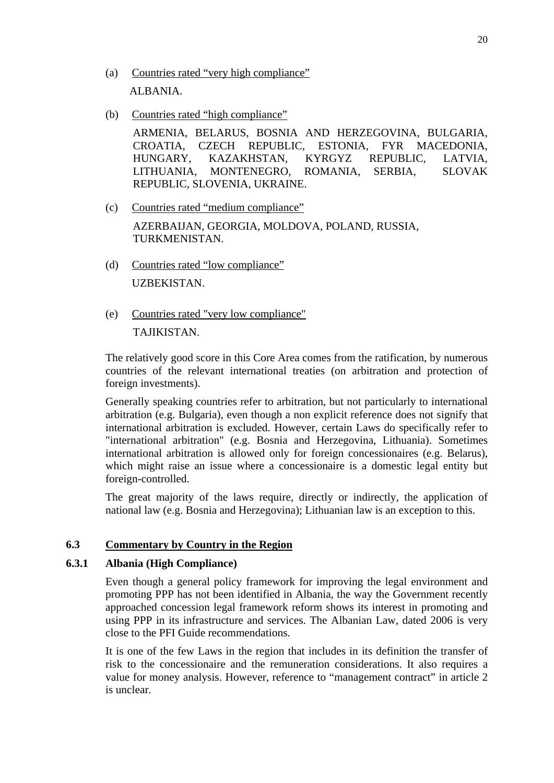- (a) Countries rated "very high compliance" ALBANIA.
- (b) Countries rated "high compliance"

ARMENIA, BELARUS, BOSNIA AND HERZEGOVINA, BULGARIA, CROATIA, CZECH REPUBLIC, ESTONIA, FYR MACEDONIA, HUNGARY, KAZAKHSTAN, KYRGYZ REPUBLIC, LATVIA, LITHUANIA, MONTENEGRO, ROMANIA, SERBIA, SLOVAK REPUBLIC, SLOVENIA, UKRAINE.

(c) Countries rated "medium compliance"

AZERBAIJAN, GEORGIA, MOLDOVA, POLAND, RUSSIA, TURKMENISTAN.

- (d) Countries rated "low compliance" UZBEKISTAN.
- (e) Countries rated "very low compliance"

TAJIKISTAN.

The relatively good score in this Core Area comes from the ratification, by numerous countries of the relevant international treaties (on arbitration and protection of foreign investments).

Generally speaking countries refer to arbitration, but not particularly to international arbitration (e.g. Bulgaria), even though a non explicit reference does not signify that international arbitration is excluded. However, certain Laws do specifically refer to "international arbitration" (e.g. Bosnia and Herzegovina, Lithuania). Sometimes international arbitration is allowed only for foreign concessionaires (e.g. Belarus), which might raise an issue where a concessionaire is a domestic legal entity but foreign-controlled.

The great majority of the laws require, directly or indirectly, the application of national law (e.g. Bosnia and Herzegovina); Lithuanian law is an exception to this.

# **6.3 Commentary by Country in the Region**

## **6.3.1 Albania (High Compliance)**

Even though a general policy framework for improving the legal environment and promoting PPP has not been identified in Albania, the way the Government recently approached concession legal framework reform shows its interest in promoting and using PPP in its infrastructure and services. The Albanian Law, dated 2006 is very close to the PFI Guide recommendations.

It is one of the few Laws in the region that includes in its definition the transfer of risk to the concessionaire and the remuneration considerations. It also requires a value for money analysis. However, reference to "management contract" in article 2 is unclear.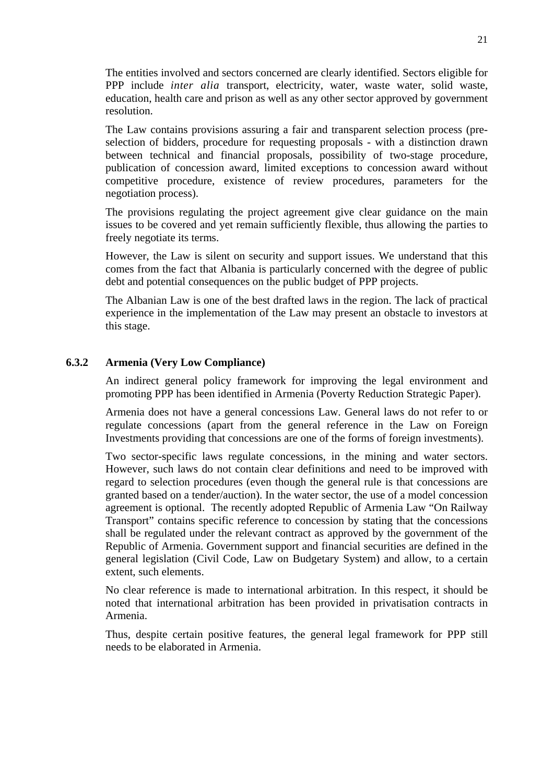The entities involved and sectors concerned are clearly identified. Sectors eligible for PPP include *inter alia* transport, electricity, water, waste water, solid waste, education, health care and prison as well as any other sector approved by government resolution.

The Law contains provisions assuring a fair and transparent selection process (preselection of bidders, procedure for requesting proposals - with a distinction drawn between technical and financial proposals, possibility of two-stage procedure, publication of concession award, limited exceptions to concession award without competitive procedure, existence of review procedures, parameters for the negotiation process).

The provisions regulating the project agreement give clear guidance on the main issues to be covered and yet remain sufficiently flexible, thus allowing the parties to freely negotiate its terms.

However, the Law is silent on security and support issues. We understand that this comes from the fact that Albania is particularly concerned with the degree of public debt and potential consequences on the public budget of PPP projects.

The Albanian Law is one of the best drafted laws in the region. The lack of practical experience in the implementation of the Law may present an obstacle to investors at this stage.

# **6.3.2 Armenia (Very Low Compliance)**

An indirect general policy framework for improving the legal environment and promoting PPP has been identified in Armenia (Poverty Reduction Strategic Paper).

Armenia does not have a general concessions Law. General laws do not refer to or regulate concessions (apart from the general reference in the Law on Foreign Investments providing that concessions are one of the forms of foreign investments).

Two sector-specific laws regulate concessions, in the mining and water sectors. However, such laws do not contain clear definitions and need to be improved with regard to selection procedures (even though the general rule is that concessions are granted based on a tender/auction). In the water sector, the use of a model concession agreement is optional. The recently adopted Republic of Armenia Law "On Railway Transport" contains specific reference to concession by stating that the concessions shall be regulated under the relevant contract as approved by the government of the Republic of Armenia. Government support and financial securities are defined in the general legislation (Civil Code, Law on Budgetary System) and allow, to a certain extent, such elements.

No clear reference is made to international arbitration. In this respect, it should be noted that international arbitration has been provided in privatisation contracts in Armenia.

Thus, despite certain positive features, the general legal framework for PPP still needs to be elaborated in Armenia.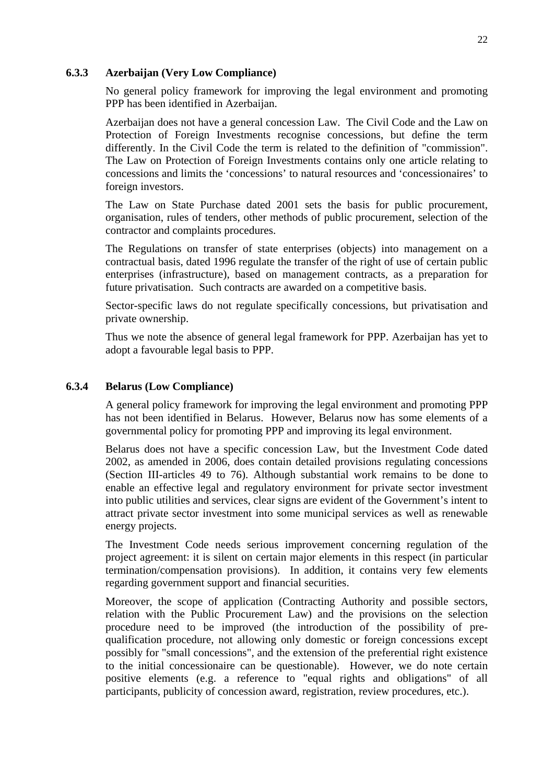#### **6.3.3 Azerbaijan (Very Low Compliance)**

No general policy framework for improving the legal environment and promoting PPP has been identified in Azerbaijan.

Azerbaijan does not have a general concession Law. The Civil Code and the Law on Protection of Foreign Investments recognise concessions, but define the term differently. In the Civil Code the term is related to the definition of "commission". The Law on Protection of Foreign Investments contains only one article relating to concessions and limits the 'concessions' to natural resources and 'concessionaires' to foreign investors.

The Law on State Purchase dated 2001 sets the basis for public procurement, organisation, rules of tenders, other methods of public procurement, selection of the contractor and complaints procedures.

The Regulations on transfer of state enterprises (objects) into management on a contractual basis, dated 1996 regulate the transfer of the right of use of certain public enterprises (infrastructure), based on management contracts, as a preparation for future privatisation. Such contracts are awarded on a competitive basis.

Sector-specific laws do not regulate specifically concessions, but privatisation and private ownership.

Thus we note the absence of general legal framework for PPP. Azerbaijan has yet to adopt a favourable legal basis to PPP.

#### **6.3.4 Belarus (Low Compliance)**

A general policy framework for improving the legal environment and promoting PPP has not been identified in Belarus. However, Belarus now has some elements of a governmental policy for promoting PPP and improving its legal environment.

Belarus does not have a specific concession Law, but the Investment Code dated 2002, as amended in 2006, does contain detailed provisions regulating concessions (Section III-articles 49 to 76). Although substantial work remains to be done to enable an effective legal and regulatory environment for private sector investment into public utilities and services, clear signs are evident of the Government's intent to attract private sector investment into some municipal services as well as renewable energy projects.

The Investment Code needs serious improvement concerning regulation of the project agreement: it is silent on certain major elements in this respect (in particular termination/compensation provisions). In addition, it contains very few elements regarding government support and financial securities.

Moreover, the scope of application (Contracting Authority and possible sectors, relation with the Public Procurement Law) and the provisions on the selection procedure need to be improved (the introduction of the possibility of prequalification procedure, not allowing only domestic or foreign concessions except possibly for "small concessions", and the extension of the preferential right existence to the initial concessionaire can be questionable). However, we do note certain positive elements (e.g. a reference to "equal rights and obligations" of all participants, publicity of concession award, registration, review procedures, etc.).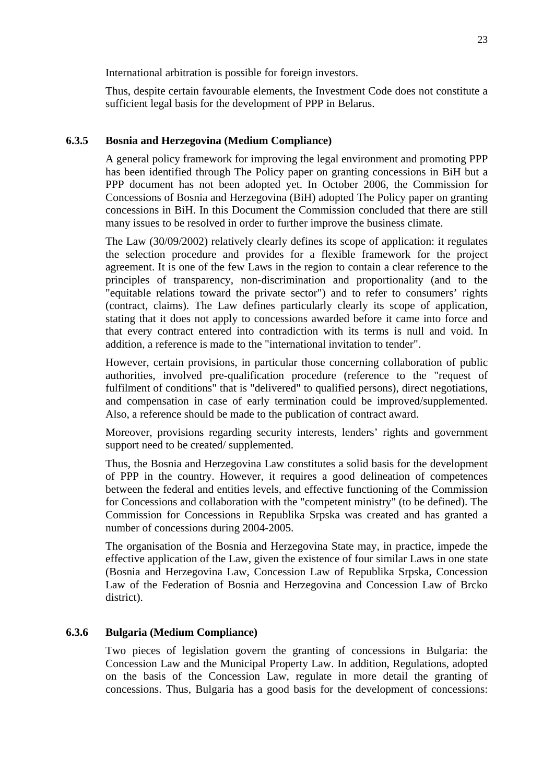International arbitration is possible for foreign investors.

Thus, despite certain favourable elements, the Investment Code does not constitute a sufficient legal basis for the development of PPP in Belarus.

#### **6.3.5 Bosnia and Herzegovina (Medium Compliance)**

A general policy framework for improving the legal environment and promoting PPP has been identified through The Policy paper on granting concessions in BiH but a PPP document has not been adopted yet. In October 2006, the Commission for Concessions of Bosnia and Herzegovina (BiH) adopted The Policy paper on granting concessions in BiH. In this Document the Commission concluded that there are still many issues to be resolved in order to further improve the business climate.

The Law (30/09/2002) relatively clearly defines its scope of application: it regulates the selection procedure and provides for a flexible framework for the project agreement. It is one of the few Laws in the region to contain a clear reference to the principles of transparency, non-discrimination and proportionality (and to the "equitable relations toward the private sector") and to refer to consumers' rights (contract, claims). The Law defines particularly clearly its scope of application, stating that it does not apply to concessions awarded before it came into force and that every contract entered into contradiction with its terms is null and void. In addition, a reference is made to the "international invitation to tender".

However, certain provisions, in particular those concerning collaboration of public authorities, involved pre-qualification procedure (reference to the "request of fulfilment of conditions" that is "delivered" to qualified persons), direct negotiations, and compensation in case of early termination could be improved/supplemented. Also, a reference should be made to the publication of contract award.

Moreover, provisions regarding security interests, lenders' rights and government support need to be created/ supplemented.

Thus, the Bosnia and Herzegovina Law constitutes a solid basis for the development of PPP in the country. However, it requires a good delineation of competences between the federal and entities levels, and effective functioning of the Commission for Concessions and collaboration with the "competent ministry" (to be defined). The Commission for Concessions in Republika Srpska was created and has granted a number of concessions during 2004-2005.

The organisation of the Bosnia and Herzegovina State may, in practice, impede the effective application of the Law, given the existence of four similar Laws in one state (Bosnia and Herzegovina Law, Concession Law of Republika Srpska, Concession Law of the Federation of Bosnia and Herzegovina and Concession Law of Brcko district).

#### **6.3.6 Bulgaria (Medium Compliance)**

Two pieces of legislation govern the granting of concessions in Bulgaria: the Concession Law and the Municipal Property Law. In addition, Regulations, adopted on the basis of the Concession Law, regulate in more detail the granting of concessions. Thus, Bulgaria has a good basis for the development of concessions: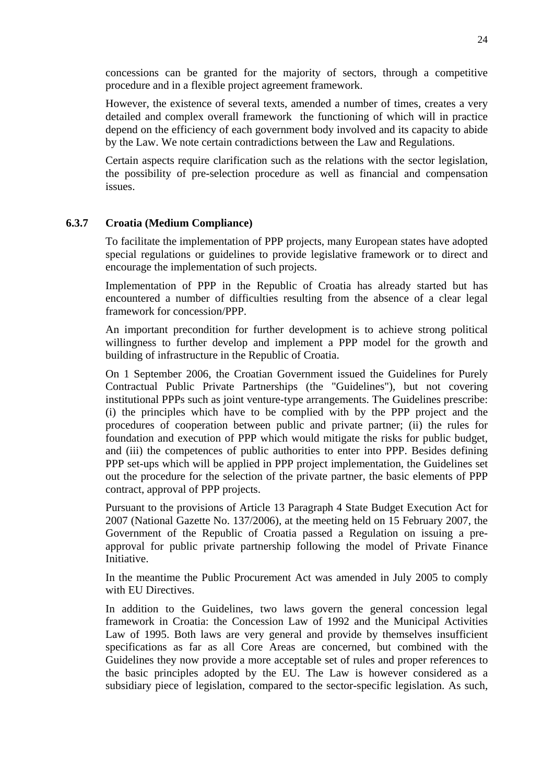concessions can be granted for the majority of sectors, through a competitive procedure and in a flexible project agreement framework.

However, the existence of several texts, amended a number of times, creates a very detailed and complex overall framework the functioning of which will in practice depend on the efficiency of each government body involved and its capacity to abide by the Law. We note certain contradictions between the Law and Regulations.

Certain aspects require clarification such as the relations with the sector legislation, the possibility of pre-selection procedure as well as financial and compensation issues.

#### **6.3.7 Croatia (Medium Compliance)**

To facilitate the implementation of PPP projects, many European states have adopted special regulations or guidelines to provide legislative framework or to direct and encourage the implementation of such projects.

Implementation of PPP in the Republic of Croatia has already started but has encountered a number of difficulties resulting from the absence of a clear legal framework for concession/PPP.

An important precondition for further development is to achieve strong political willingness to further develop and implement a PPP model for the growth and building of infrastructure in the Republic of Croatia.

On 1 September 2006, the Croatian Government issued the Guidelines for Purely Contractual Public Private Partnerships (the "Guidelines"), but not covering institutional PPPs such as joint venture-type arrangements. The Guidelines prescribe: (i) the principles which have to be complied with by the PPP project and the procedures of cooperation between public and private partner; (ii) the rules for foundation and execution of PPP which would mitigate the risks for public budget, and (iii) the competences of public authorities to enter into PPP. Besides defining PPP set-ups which will be applied in PPP project implementation, the Guidelines set out the procedure for the selection of the private partner, the basic elements of PPP contract, approval of PPP projects.

Pursuant to the provisions of Article 13 Paragraph 4 State Budget Execution Act for 2007 (National Gazette No. 137/2006), at the meeting held on 15 February 2007, the Government of the Republic of Croatia passed a Regulation on issuing a preapproval for public private partnership following the model of Private Finance Initiative.

In the meantime the Public Procurement Act was amended in July 2005 to comply with EU Directives.

In addition to the Guidelines, two laws govern the general concession legal framework in Croatia: the Concession Law of 1992 and the Municipal Activities Law of 1995. Both laws are very general and provide by themselves insufficient specifications as far as all Core Areas are concerned, but combined with the Guidelines they now provide a more acceptable set of rules and proper references to the basic principles adopted by the EU. The Law is however considered as a subsidiary piece of legislation, compared to the sector-specific legislation. As such,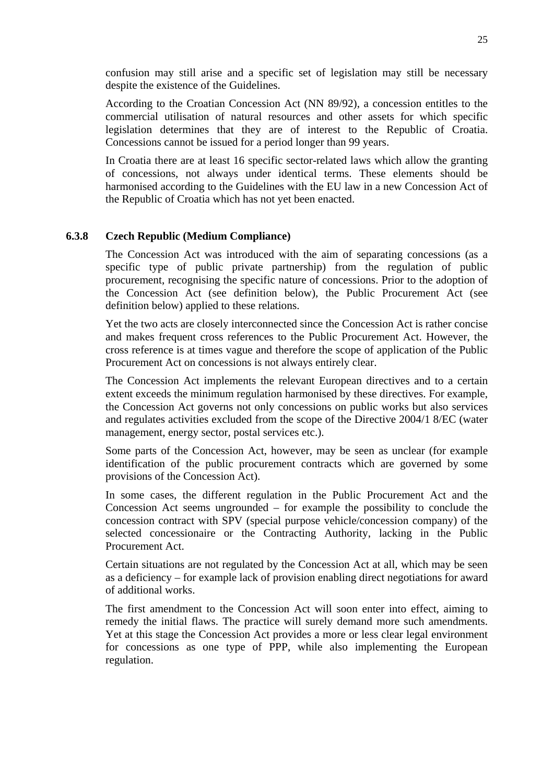confusion may still arise and a specific set of legislation may still be necessary despite the existence of the Guidelines.

According to the Croatian Concession Act (NN 89/92), a concession entitles to the commercial utilisation of natural resources and other assets for which specific legislation determines that they are of interest to the Republic of Croatia. Concessions cannot be issued for a period longer than 99 years.

In Croatia there are at least 16 specific sector-related laws which allow the granting of concessions, not always under identical terms. These elements should be harmonised according to the Guidelines with the EU law in a new Concession Act of the Republic of Croatia which has not yet been enacted.

#### **6.3.8 Czech Republic (Medium Compliance)**

The Concession Act was introduced with the aim of separating concessions (as a specific type of public private partnership) from the regulation of public procurement, recognising the specific nature of concessions. Prior to the adoption of the Concession Act (see definition below), the Public Procurement Act (see definition below) applied to these relations.

Yet the two acts are closely interconnected since the Concession Act is rather concise and makes frequent cross references to the Public Procurement Act. However, the cross reference is at times vague and therefore the scope of application of the Public Procurement Act on concessions is not always entirely clear.

The Concession Act implements the relevant European directives and to a certain extent exceeds the minimum regulation harmonised by these directives. For example, the Concession Act governs not only concessions on public works but also services and regulates activities excluded from the scope of the Directive 2004/1 8/EC (water management, energy sector, postal services etc.).

Some parts of the Concession Act, however, may be seen as unclear (for example identification of the public procurement contracts which are governed by some provisions of the Concession Act).

In some cases, the different regulation in the Public Procurement Act and the Concession Act seems ungrounded – for example the possibility to conclude the concession contract with SPV (special purpose vehicle/concession company) of the selected concessionaire or the Contracting Authority, lacking in the Public Procurement Act.

Certain situations are not regulated by the Concession Act at all, which may be seen as a deficiency – for example lack of provision enabling direct negotiations for award of additional works.

The first amendment to the Concession Act will soon enter into effect, aiming to remedy the initial flaws. The practice will surely demand more such amendments. Yet at this stage the Concession Act provides a more or less clear legal environment for concessions as one type of PPP, while also implementing the European regulation.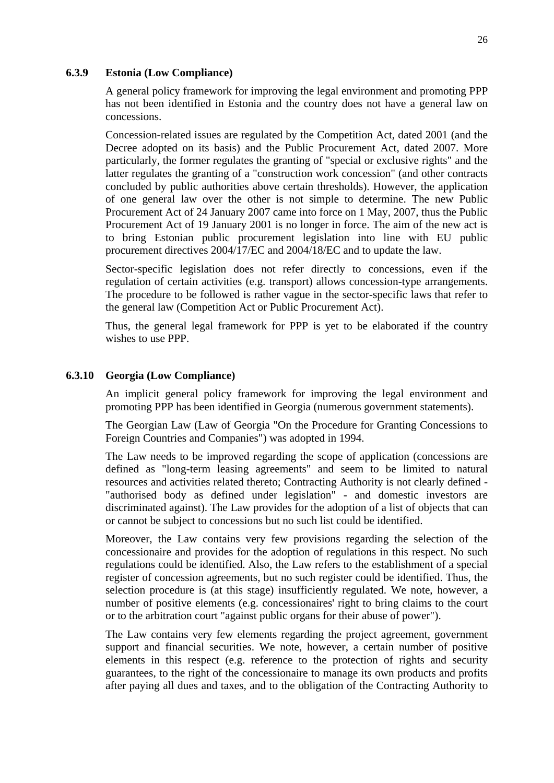#### **6.3.9 Estonia (Low Compliance)**

A general policy framework for improving the legal environment and promoting PPP has not been identified in Estonia and the country does not have a general law on concessions.

Concession-related issues are regulated by the Competition Act, dated 2001 (and the Decree adopted on its basis) and the Public Procurement Act, dated 2007. More particularly, the former regulates the granting of "special or exclusive rights" and the latter regulates the granting of a "construction work concession" (and other contracts concluded by public authorities above certain thresholds). However, the application of one general law over the other is not simple to determine. The new Public Procurement Act of 24 January 2007 came into force on 1 May, 2007, thus the Public Procurement Act of 19 January 2001 is no longer in force. The aim of the new act is to bring Estonian public procurement legislation into line with EU public procurement directives 2004/17/EC and 2004/18/EC and to update the law.

Sector-specific legislation does not refer directly to concessions, even if the regulation of certain activities (e.g. transport) allows concession-type arrangements. The procedure to be followed is rather vague in the sector-specific laws that refer to the general law (Competition Act or Public Procurement Act).

Thus, the general legal framework for PPP is yet to be elaborated if the country wishes to use PPP.

#### **6.3.10 Georgia (Low Compliance)**

An implicit general policy framework for improving the legal environment and promoting PPP has been identified in Georgia (numerous government statements).

The Georgian Law (Law of Georgia "On the Procedure for Granting Concessions to Foreign Countries and Companies") was adopted in 1994.

The Law needs to be improved regarding the scope of application (concessions are defined as "long-term leasing agreements" and seem to be limited to natural resources and activities related thereto; Contracting Authority is not clearly defined - "authorised body as defined under legislation" - and domestic investors are discriminated against). The Law provides for the adoption of a list of objects that can or cannot be subject to concessions but no such list could be identified.

Moreover, the Law contains very few provisions regarding the selection of the concessionaire and provides for the adoption of regulations in this respect. No such regulations could be identified. Also, the Law refers to the establishment of a special register of concession agreements, but no such register could be identified. Thus, the selection procedure is (at this stage) insufficiently regulated. We note, however, a number of positive elements (e.g. concessionaires' right to bring claims to the court or to the arbitration court "against public organs for their abuse of power").

The Law contains very few elements regarding the project agreement, government support and financial securities. We note, however, a certain number of positive elements in this respect (e.g. reference to the protection of rights and security guarantees, to the right of the concessionaire to manage its own products and profits after paying all dues and taxes, and to the obligation of the Contracting Authority to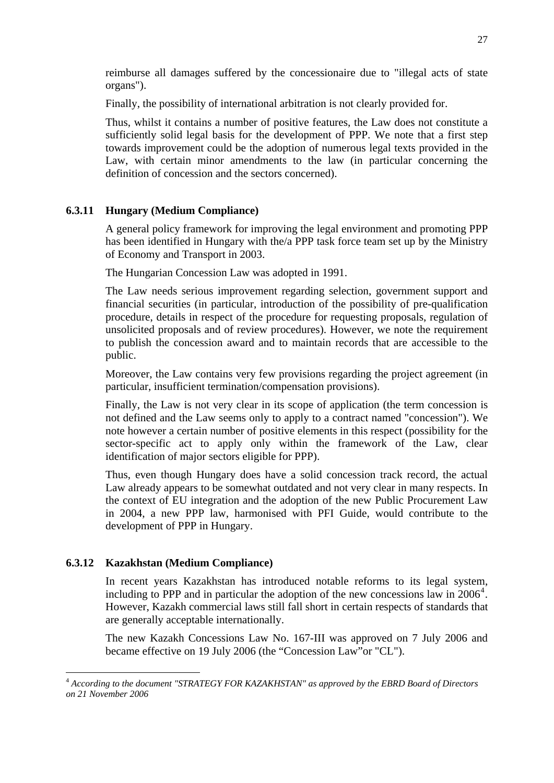<span id="page-26-0"></span>reimburse all damages suffered by the concessionaire due to "illegal acts of state organs").

Finally, the possibility of international arbitration is not clearly provided for.

Thus, whilst it contains a number of positive features, the Law does not constitute a sufficiently solid legal basis for the development of PPP. We note that a first step towards improvement could be the adoption of numerous legal texts provided in the Law, with certain minor amendments to the law (in particular concerning the definition of concession and the sectors concerned).

# **6.3.11 Hungary (Medium Compliance)**

A general policy framework for improving the legal environment and promoting PPP has been identified in Hungary with the/a PPP task force team set up by the Ministry of Economy and Transport in 2003.

The Hungarian Concession Law was adopted in 1991.

The Law needs serious improvement regarding selection, government support and financial securities (in particular, introduction of the possibility of pre-qualification procedure, details in respect of the procedure for requesting proposals, regulation of unsolicited proposals and of review procedures). However, we note the requirement to publish the concession award and to maintain records that are accessible to the public.

Moreover, the Law contains very few provisions regarding the project agreement (in particular, insufficient termination/compensation provisions).

Finally, the Law is not very clear in its scope of application (the term concession is not defined and the Law seems only to apply to a contract named "concession"). We note however a certain number of positive elements in this respect (possibility for the sector-specific act to apply only within the framework of the Law, clear identification of major sectors eligible for PPP).

Thus, even though Hungary does have a solid concession track record, the actual Law already appears to be somewhat outdated and not very clear in many respects. In the context of EU integration and the adoption of the new Public Procurement Law in 2004, a new PPP law, harmonised with PFI Guide, would contribute to the development of PPP in Hungary.

## **6.3.12 Kazakhstan (Medium Compliance)**

1

In recent years Kazakhstan has introduced notable reforms to its legal system, including to PPP and in particular the adoption of the new concessions law in  $2006<sup>4</sup>$  $2006<sup>4</sup>$  $2006<sup>4</sup>$ . However, Kazakh commercial laws still fall short in certain respects of standards that are generally acceptable internationally.

The new Kazakh Concessions Law No. 167-III was approved on 7 July 2006 and became effective on 19 July 2006 (the "Concession Law"or "CL").

<sup>4</sup> *According to the document "STRATEGY FOR KAZAKHSTAN" as approved by the EBRD Board of Directors on 21 November 2006*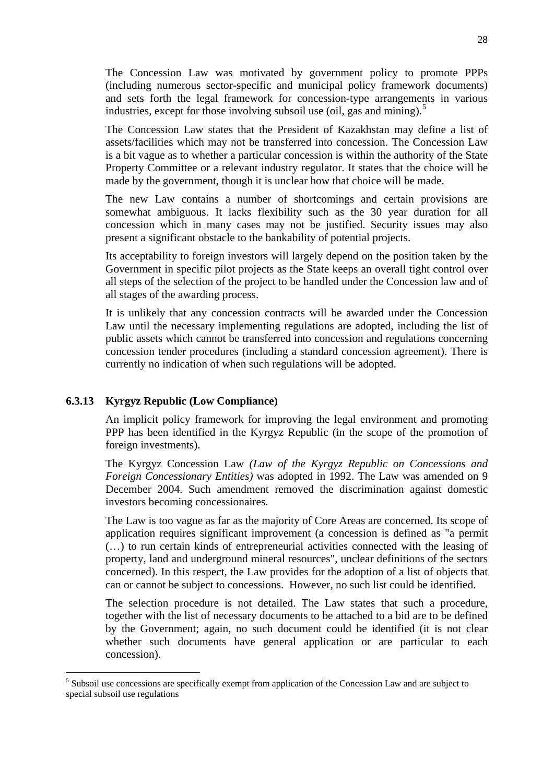<span id="page-27-0"></span>The Concession Law was motivated by government policy to promote PPPs (including numerous sector-specific and municipal policy framework documents) and sets forth the legal framework for concession-type arrangements in various industries, except for those involving subsoil use (oil, gas and mining).<sup>[5](#page-27-0)</sup>

The Concession Law states that the President of Kazakhstan may define a list of assets/facilities which may not be transferred into concession. The Concession Law is a bit vague as to whether a particular concession is within the authority of the State Property Committee or a relevant industry regulator. It states that the choice will be made by the government, though it is unclear how that choice will be made.

The new Law contains a number of shortcomings and certain provisions are somewhat ambiguous. It lacks flexibility such as the 30 year duration for all concession which in many cases may not be justified. Security issues may also present a significant obstacle to the bankability of potential projects.

Its acceptability to foreign investors will largely depend on the position taken by the Government in specific pilot projects as the State keeps an overall tight control over all steps of the selection of the project to be handled under the Concession law and of all stages of the awarding process.

It is unlikely that any concession contracts will be awarded under the Concession Law until the necessary implementing regulations are adopted, including the list of public assets which cannot be transferred into concession and regulations concerning concession tender procedures (including a standard concession agreement). There is currently no indication of when such regulations will be adopted.

## **6.3.13 Kyrgyz Republic (Low Compliance)**

1

An implicit policy framework for improving the legal environment and promoting PPP has been identified in the Kyrgyz Republic (in the scope of the promotion of foreign investments).

The Kyrgyz Concession Law *(Law of the Kyrgyz Republic on Concessions and Foreign Concessionary Entities)* was adopted in 1992. The Law was amended on 9 December 2004. Such amendment removed the discrimination against domestic investors becoming concessionaires.

The Law is too vague as far as the majority of Core Areas are concerned. Its scope of application requires significant improvement (a concession is defined as "a permit (…) to run certain kinds of entrepreneurial activities connected with the leasing of property, land and underground mineral resources", unclear definitions of the sectors concerned). In this respect, the Law provides for the adoption of a list of objects that can or cannot be subject to concessions. However, no such list could be identified.

The selection procedure is not detailed. The Law states that such a procedure, together with the list of necessary documents to be attached to a bid are to be defined by the Government; again, no such document could be identified (it is not clear whether such documents have general application or are particular to each concession).

<sup>&</sup>lt;sup>5</sup> Subsoil use concessions are specifically exempt from application of the Concession Law and are subject to special subsoil use regulations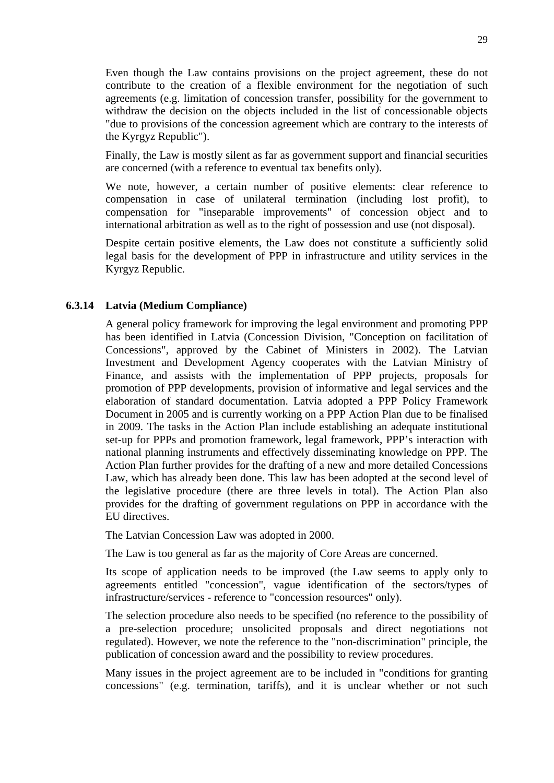Even though the Law contains provisions on the project agreement, these do not contribute to the creation of a flexible environment for the negotiation of such agreements (e.g. limitation of concession transfer, possibility for the government to withdraw the decision on the objects included in the list of concessionable objects "due to provisions of the concession agreement which are contrary to the interests of the Kyrgyz Republic").

Finally, the Law is mostly silent as far as government support and financial securities are concerned (with a reference to eventual tax benefits only).

We note, however, a certain number of positive elements: clear reference to compensation in case of unilateral termination (including lost profit), to compensation for "inseparable improvements" of concession object and to international arbitration as well as to the right of possession and use (not disposal).

Despite certain positive elements, the Law does not constitute a sufficiently solid legal basis for the development of PPP in infrastructure and utility services in the Kyrgyz Republic.

## **6.3.14 Latvia (Medium Compliance)**

A general policy framework for improving the legal environment and promoting PPP has been identified in Latvia (Concession Division, "Conception on facilitation of Concessions", approved by the Cabinet of Ministers in 2002). The Latvian Investment and Development Agency cooperates with the Latvian Ministry of Finance, and assists with the implementation of PPP projects, proposals for promotion of PPP developments, provision of informative and legal services and the elaboration of standard documentation. Latvia adopted a PPP Policy Framework Document in 2005 and is currently working on a PPP Action Plan due to be finalised in 2009. The tasks in the Action Plan include establishing an adequate institutional set-up for PPPs and promotion framework, legal framework, PPP's interaction with national planning instruments and effectively disseminating knowledge on PPP. The Action Plan further provides for the drafting of a new and more detailed Concessions Law, which has already been done. This law has been adopted at the second level of the legislative procedure (there are three levels in total). The Action Plan also provides for the drafting of government regulations on PPP in accordance with the EU directives.

The Latvian Concession Law was adopted in 2000.

The Law is too general as far as the majority of Core Areas are concerned.

Its scope of application needs to be improved (the Law seems to apply only to agreements entitled "concession", vague identification of the sectors/types of infrastructure/services - reference to "concession resources" only).

The selection procedure also needs to be specified (no reference to the possibility of a pre-selection procedure; unsolicited proposals and direct negotiations not regulated). However, we note the reference to the "non-discrimination" principle, the publication of concession award and the possibility to review procedures.

Many issues in the project agreement are to be included in "conditions for granting concessions" (e.g. termination, tariffs), and it is unclear whether or not such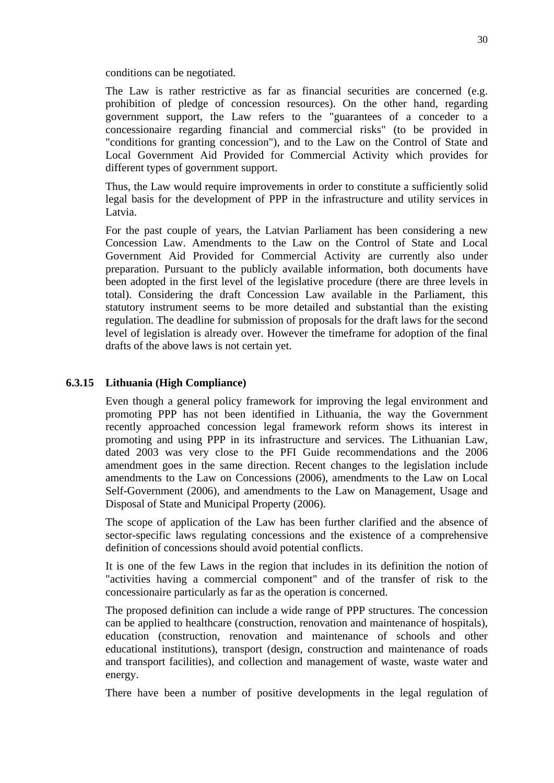conditions can be negotiated.

The Law is rather restrictive as far as financial securities are concerned (e.g. prohibition of pledge of concession resources). On the other hand, regarding government support, the Law refers to the "guarantees of a conceder to a concessionaire regarding financial and commercial risks" (to be provided in "conditions for granting concession"), and to the Law on the Control of State and Local Government Aid Provided for Commercial Activity which provides for different types of government support.

Thus, the Law would require improvements in order to constitute a sufficiently solid legal basis for the development of PPP in the infrastructure and utility services in Latvia.

For the past couple of years, the Latvian Parliament has been considering a new Concession Law. Amendments to the Law on the Control of State and Local Government Aid Provided for Commercial Activity are currently also under preparation. Pursuant to the publicly available information, both documents have been adopted in the first level of the legislative procedure (there are three levels in total). Considering the draft Concession Law available in the Parliament, this statutory instrument seems to be more detailed and substantial than the existing regulation. The deadline for submission of proposals for the draft laws for the second level of legislation is already over. However the timeframe for adoption of the final drafts of the above laws is not certain yet.

## **6.3.15 Lithuania (High Compliance)**

Even though a general policy framework for improving the legal environment and promoting PPP has not been identified in Lithuania, the way the Government recently approached concession legal framework reform shows its interest in promoting and using PPP in its infrastructure and services. The Lithuanian Law, dated 2003 was very close to the PFI Guide recommendations and the 2006 amendment goes in the same direction. Recent changes to the legislation include amendments to the Law on Concessions (2006), amendments to the Law on Local Self-Government (2006), and amendments to the Law on Management, Usage and Disposal of State and Municipal Property (2006).

The scope of application of the Law has been further clarified and the absence of sector-specific laws regulating concessions and the existence of a comprehensive definition of concessions should avoid potential conflicts.

It is one of the few Laws in the region that includes in its definition the notion of "activities having a commercial component" and of the transfer of risk to the concessionaire particularly as far as the operation is concerned.

The proposed definition can include a wide range of PPP structures. The concession can be applied to healthcare (construction, renovation and maintenance of hospitals), education (construction, renovation and maintenance of schools and other educational institutions), transport (design, construction and maintenance of roads and transport facilities), and collection and management of waste, waste water and energy.

There have been a number of positive developments in the legal regulation of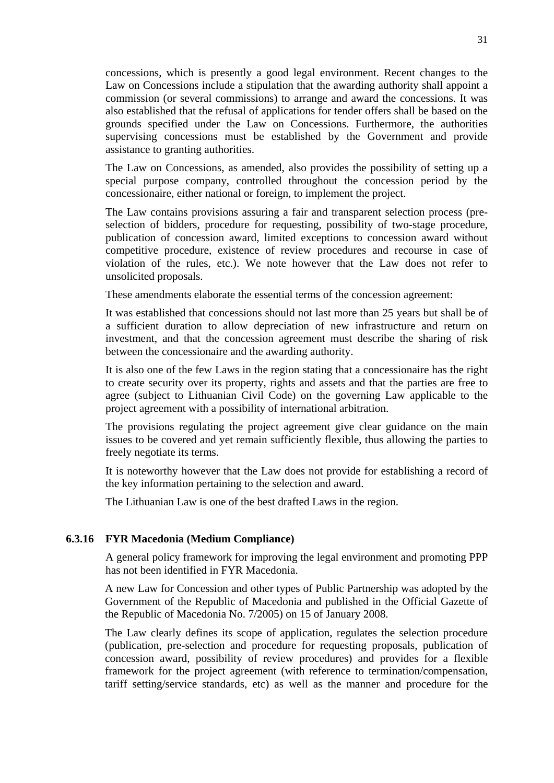concessions, which is presently a good legal environment. Recent changes to the Law on Concessions include a stipulation that the awarding authority shall appoint a commission (or several commissions) to arrange and award the concessions. It was also established that the refusal of applications for tender offers shall be based on the grounds specified under the Law on Concessions. Furthermore, the authorities supervising concessions must be established by the Government and provide assistance to granting authorities.

The Law on Concessions, as amended, also provides the possibility of setting up a special purpose company, controlled throughout the concession period by the concessionaire, either national or foreign, to implement the project.

The Law contains provisions assuring a fair and transparent selection process (preselection of bidders, procedure for requesting, possibility of two-stage procedure, publication of concession award, limited exceptions to concession award without competitive procedure, existence of review procedures and recourse in case of violation of the rules, etc.). We note however that the Law does not refer to unsolicited proposals.

These amendments elaborate the essential terms of the concession agreement:

It was established that concessions should not last more than 25 years but shall be of a sufficient duration to allow depreciation of new infrastructure and return on investment, and that the concession agreement must describe the sharing of risk between the concessionaire and the awarding authority.

It is also one of the few Laws in the region stating that a concessionaire has the right to create security over its property, rights and assets and that the parties are free to agree (subject to Lithuanian Civil Code) on the governing Law applicable to the project agreement with a possibility of international arbitration.

The provisions regulating the project agreement give clear guidance on the main issues to be covered and yet remain sufficiently flexible, thus allowing the parties to freely negotiate its terms.

It is noteworthy however that the Law does not provide for establishing a record of the key information pertaining to the selection and award.

The Lithuanian Law is one of the best drafted Laws in the region.

#### **6.3.16 FYR Macedonia (Medium Compliance)**

A general policy framework for improving the legal environment and promoting PPP has not been identified in FYR Macedonia.

A new Law for Concession and other types of Public Partnership was adopted by the Government of the Republic of Macedonia and published in the Official Gazette of the Republic of Macedonia No. 7/2005) on 15 of January 2008.

The Law clearly defines its scope of application, regulates the selection procedure (publication, pre-selection and procedure for requesting proposals, publication of concession award, possibility of review procedures) and provides for a flexible framework for the project agreement (with reference to termination/compensation, tariff setting/service standards, etc) as well as the manner and procedure for the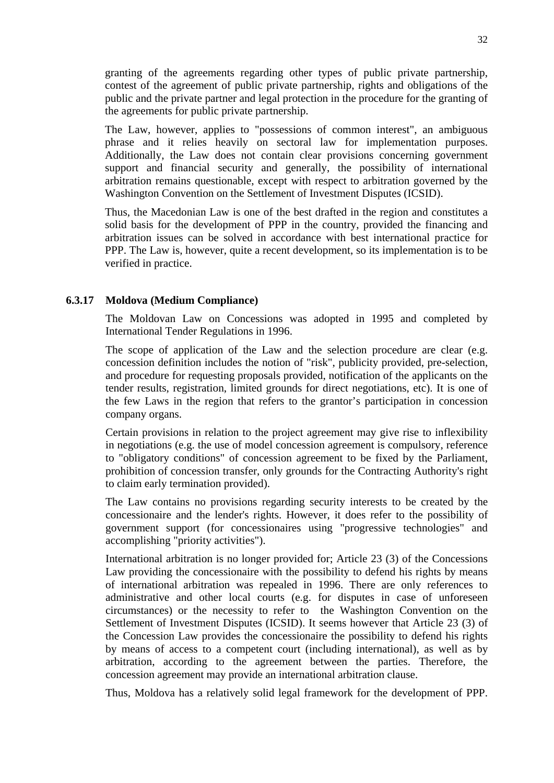granting of the agreements regarding other types of public private partnership, contest of the agreement of public private partnership, rights and obligations of the public and the private partner and legal protection in the procedure for the granting of the agreements for public private partnership.

The Law, however, applies to "possessions of common interest", an ambiguous phrase and it relies heavily on sectoral law for implementation purposes. Additionally, the Law does not contain clear provisions concerning government support and financial security and generally, the possibility of international arbitration remains questionable, except with respect to arbitration governed by the Washington Convention on the Settlement of Investment Disputes (ICSID).

Thus, the Macedonian Law is one of the best drafted in the region and constitutes a solid basis for the development of PPP in the country, provided the financing and arbitration issues can be solved in accordance with best international practice for PPP. The Law is, however, quite a recent development, so its implementation is to be verified in practice.

#### **6.3.17 Moldova (Medium Compliance)**

The Moldovan Law on Concessions was adopted in 1995 and completed by International Tender Regulations in 1996.

The scope of application of the Law and the selection procedure are clear (e.g. concession definition includes the notion of "risk", publicity provided, pre-selection, and procedure for requesting proposals provided, notification of the applicants on the tender results, registration, limited grounds for direct negotiations, etc). It is one of the few Laws in the region that refers to the grantor's participation in concession company organs.

Certain provisions in relation to the project agreement may give rise to inflexibility in negotiations (e.g. the use of model concession agreement is compulsory, reference to "obligatory conditions" of concession agreement to be fixed by the Parliament, prohibition of concession transfer, only grounds for the Contracting Authority's right to claim early termination provided).

The Law contains no provisions regarding security interests to be created by the concessionaire and the lender's rights. However, it does refer to the possibility of government support (for concessionaires using "progressive technologies" and accomplishing "priority activities").

International arbitration is no longer provided for; Article 23 (3) of the Concessions Law providing the concessionaire with the possibility to defend his rights by means of international arbitration was repealed in 1996. There are only references to administrative and other local courts (e.g. for disputes in case of unforeseen circumstances) or the necessity to refer to the Washington Convention on the Settlement of Investment Disputes (ICSID). It seems however that Article 23 (3) of the Concession Law provides the concessionaire the possibility to defend his rights by means of access to a competent court (including international), as well as by arbitration, according to the agreement between the parties. Therefore, the concession agreement may provide an international arbitration clause.

Thus, Moldova has a relatively solid legal framework for the development of PPP.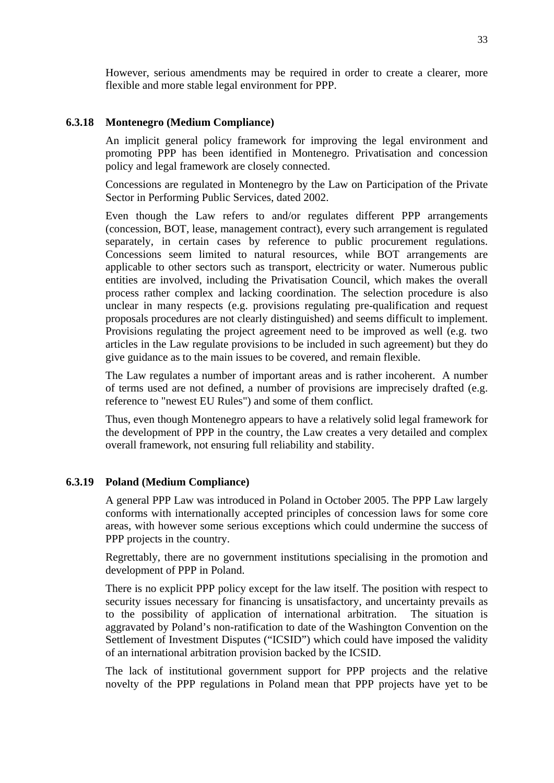However, serious amendments may be required in order to create a clearer, more flexible and more stable legal environment for PPP.

#### **6.3.18 Montenegro (Medium Compliance)**

An implicit general policy framework for improving the legal environment and promoting PPP has been identified in Montenegro. Privatisation and concession policy and legal framework are closely connected.

Concessions are regulated in Montenegro by the Law on Participation of the Private Sector in Performing Public Services, dated 2002.

Even though the Law refers to and/or regulates different PPP arrangements (concession, BOT, lease, management contract), every such arrangement is regulated separately, in certain cases by reference to public procurement regulations. Concessions seem limited to natural resources, while BOT arrangements are applicable to other sectors such as transport, electricity or water. Numerous public entities are involved, including the Privatisation Council, which makes the overall process rather complex and lacking coordination. The selection procedure is also unclear in many respects (e.g. provisions regulating pre-qualification and request proposals procedures are not clearly distinguished) and seems difficult to implement. Provisions regulating the project agreement need to be improved as well (e.g. two articles in the Law regulate provisions to be included in such agreement) but they do give guidance as to the main issues to be covered, and remain flexible.

The Law regulates a number of important areas and is rather incoherent. A number of terms used are not defined, a number of provisions are imprecisely drafted (e.g. reference to "newest EU Rules") and some of them conflict.

Thus, even though Montenegro appears to have a relatively solid legal framework for the development of PPP in the country, the Law creates a very detailed and complex overall framework, not ensuring full reliability and stability.

#### **6.3.19 Poland (Medium Compliance)**

A general PPP Law was introduced in Poland in October 2005. The PPP Law largely conforms with internationally accepted principles of concession laws for some core areas, with however some serious exceptions which could undermine the success of PPP projects in the country.

Regrettably, there are no government institutions specialising in the promotion and development of PPP in Poland.

There is no explicit PPP policy except for the law itself. The position with respect to security issues necessary for financing is unsatisfactory, and uncertainty prevails as to the possibility of application of international arbitration. The situation is aggravated by Poland's non-ratification to date of the Washington Convention on the Settlement of Investment Disputes ("ICSID") which could have imposed the validity of an international arbitration provision backed by the ICSID.

The lack of institutional government support for PPP projects and the relative novelty of the PPP regulations in Poland mean that PPP projects have yet to be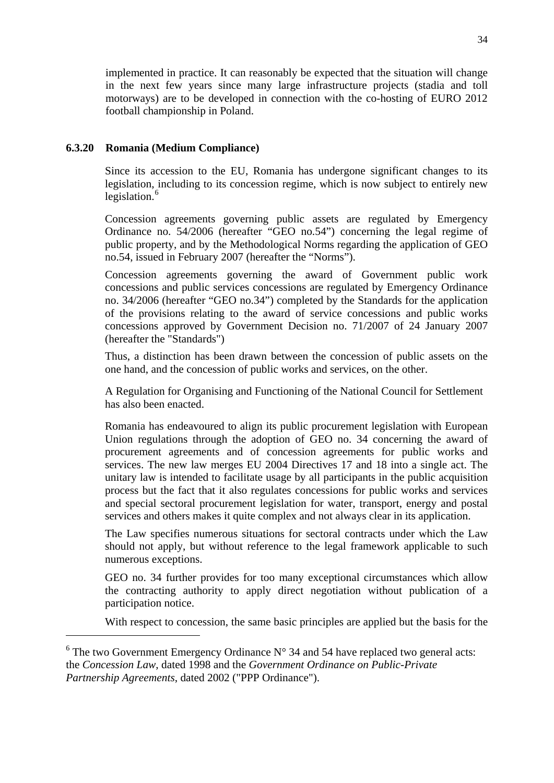<span id="page-33-0"></span>implemented in practice. It can reasonably be expected that the situation will change in the next few years since many large infrastructure projects (stadia and toll motorways) are to be developed in connection with the co-hosting of EURO 2012 football championship in Poland.

# **6.3.20 Romania (Medium Compliance)**

<u>.</u>

Since its accession to the EU, Romania has undergone significant changes to its legislation, including to its concession regime, which is now subject to entirely new legislation.<sup>[6](#page-33-0)</sup>

Concession agreements governing public assets are regulated by Emergency Ordinance no. 54/2006 (hereafter "GEO no.54") concerning the legal regime of public property, and by the Methodological Norms regarding the application of GEO no.54, issued in February 2007 (hereafter the "Norms").

Concession agreements governing the award of Government public work concessions and public services concessions are regulated by Emergency Ordinance no. 34/2006 (hereafter "GEO no.34") completed by the Standards for the application of the provisions relating to the award of service concessions and public works concessions approved by Government Decision no. 71/2007 of 24 January 2007 (hereafter the "Standards")

Thus, a distinction has been drawn between the concession of public assets on the one hand, and the concession of public works and services, on the other.

A Regulation for Organising and Functioning of the National Council for Settlement has also been enacted.

Romania has endeavoured to align its public procurement legislation with European Union regulations through the adoption of GEO no. 34 concerning the award of procurement agreements and of concession agreements for public works and services. The new law merges EU 2004 Directives 17 and 18 into a single act. The unitary law is intended to facilitate usage by all participants in the public acquisition process but the fact that it also regulates concessions for public works and services and special sectoral procurement legislation for water, transport, energy and postal services and others makes it quite complex and not always clear in its application.

The Law specifies numerous situations for sectoral contracts under which the Law should not apply, but without reference to the legal framework applicable to such numerous exceptions.

GEO no. 34 further provides for too many exceptional circumstances which allow the contracting authority to apply direct negotiation without publication of a participation notice.

With respect to concession, the same basic principles are applied but the basis for the

 $6$  The two Government Emergency Ordinance N° 34 and 54 have replaced two general acts: the *Concession Law*, dated 1998 and the *Government Ordinance on Public-Private Partnership Agreements*, dated 2002 ("PPP Ordinance").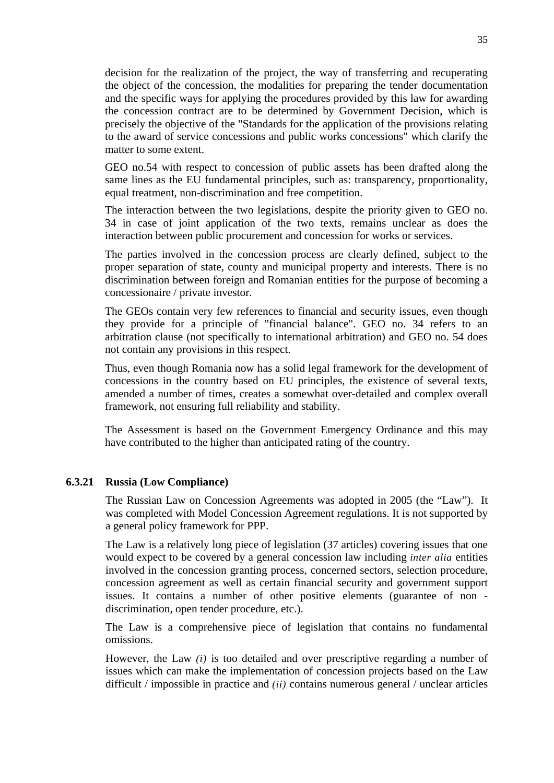decision for the realization of the project, the way of transferring and recuperating the object of the concession, the modalities for preparing the tender documentation and the specific ways for applying the procedures provided by this law for awarding the concession contract are to be determined by Government Decision, which is precisely the objective of the "Standards for the application of the provisions relating to the award of service concessions and public works concessions" which clarify the matter to some extent.

GEO no.54 with respect to concession of public assets has been drafted along the same lines as the EU fundamental principles, such as: transparency, proportionality, equal treatment, non-discrimination and free competition.

The interaction between the two legislations, despite the priority given to GEO no. 34 in case of joint application of the two texts, remains unclear as does the interaction between public procurement and concession for works or services.

The parties involved in the concession process are clearly defined, subject to the proper separation of state, county and municipal property and interests. There is no discrimination between foreign and Romanian entities for the purpose of becoming a concessionaire / private investor.

The GEOs contain very few references to financial and security issues, even though they provide for a principle of "financial balance". GEO no. 34 refers to an arbitration clause (not specifically to international arbitration) and GEO no. 54 does not contain any provisions in this respect.

Thus, even though Romania now has a solid legal framework for the development of concessions in the country based on EU principles, the existence of several texts, amended a number of times, creates a somewhat over-detailed and complex overall framework, not ensuring full reliability and stability.

The Assessment is based on the Government Emergency Ordinance and this may have contributed to the higher than anticipated rating of the country.

#### **6.3.21 Russia (Low Compliance)**

The Russian Law on Concession Agreements was adopted in 2005 (the "Law"). It was completed with Model Concession Agreement regulations. It is not supported by a general policy framework for PPP.

The Law is a relatively long piece of legislation (37 articles) covering issues that one would expect to be covered by a general concession law including *inter alia* entities involved in the concession granting process, concerned sectors, selection procedure, concession agreement as well as certain financial security and government support issues. It contains a number of other positive elements (guarantee of non discrimination, open tender procedure, etc.).

The Law is a comprehensive piece of legislation that contains no fundamental omissions.

However, the Law *(i)* is too detailed and over prescriptive regarding a number of issues which can make the implementation of concession projects based on the Law difficult / impossible in practice and *(ii)* contains numerous general / unclear articles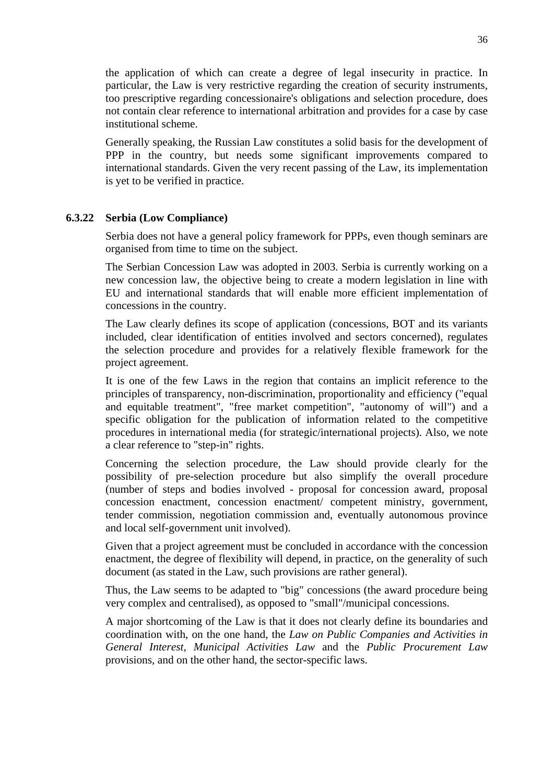the application of which can create a degree of legal insecurity in practice. In particular, the Law is very restrictive regarding the creation of security instruments, too prescriptive regarding concessionaire's obligations and selection procedure, does not contain clear reference to international arbitration and provides for a case by case institutional scheme.

Generally speaking, the Russian Law constitutes a solid basis for the development of PPP in the country, but needs some significant improvements compared to international standards. Given the very recent passing of the Law, its implementation is yet to be verified in practice.

# **6.3.22 Serbia (Low Compliance)**

Serbia does not have a general policy framework for PPPs, even though seminars are organised from time to time on the subject.

The Serbian Concession Law was adopted in 2003. Serbia is currently working on a new concession law, the objective being to create a modern legislation in line with EU and international standards that will enable more efficient implementation of concessions in the country.

The Law clearly defines its scope of application (concessions, BOT and its variants included, clear identification of entities involved and sectors concerned), regulates the selection procedure and provides for a relatively flexible framework for the project agreement.

It is one of the few Laws in the region that contains an implicit reference to the principles of transparency, non-discrimination, proportionality and efficiency ("equal and equitable treatment", "free market competition", "autonomy of will") and a specific obligation for the publication of information related to the competitive procedures in international media (for strategic/international projects). Also, we note a clear reference to "step-in" rights.

Concerning the selection procedure, the Law should provide clearly for the possibility of pre-selection procedure but also simplify the overall procedure (number of steps and bodies involved - proposal for concession award, proposal concession enactment, concession enactment/ competent ministry, government, tender commission, negotiation commission and, eventually autonomous province and local self-government unit involved).

Given that a project agreement must be concluded in accordance with the concession enactment, the degree of flexibility will depend, in practice, on the generality of such document (as stated in the Law, such provisions are rather general).

Thus, the Law seems to be adapted to "big" concessions (the award procedure being very complex and centralised), as opposed to "small"/municipal concessions.

A major shortcoming of the Law is that it does not clearly define its boundaries and coordination with, on the one hand, the *Law on Public Companies and Activities in General Interest, Municipal Activities Law* and the *Public Procurement Law*  provisions, and on the other hand, the sector-specific laws.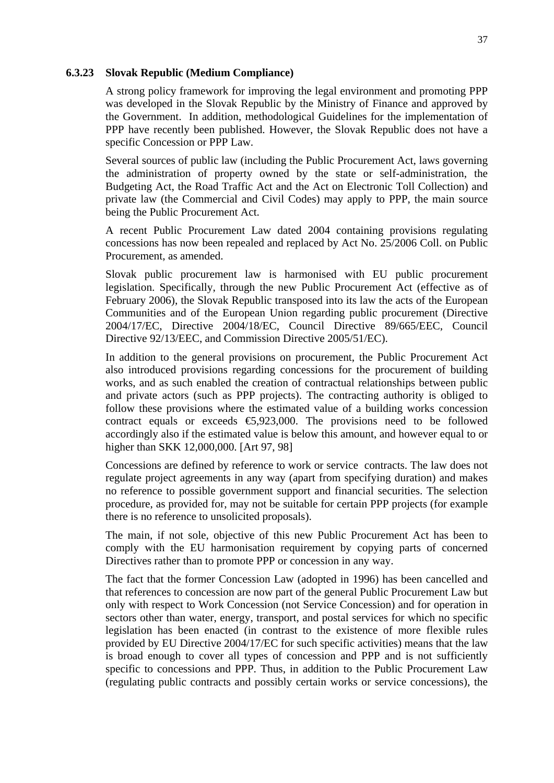#### **6.3.23 Slovak Republic (Medium Compliance)**

A strong policy framework for improving the legal environment and promoting PPP was developed in the Slovak Republic by the Ministry of Finance and approved by the Government. In addition, methodological Guidelines for the implementation of PPP have recently been published. However, the Slovak Republic does not have a specific Concession or PPP Law.

Several sources of public law (including the Public Procurement Act, laws governing the administration of property owned by the state or self-administration, the Budgeting Act, the Road Traffic Act and the Act on Electronic Toll Collection) and private law (the Commercial and Civil Codes) may apply to PPP, the main source being the Public Procurement Act.

A recent Public Procurement Law dated 2004 containing provisions regulating concessions has now been repealed and replaced by Act No. 25/2006 Coll. on Public Procurement, as amended.

Slovak public procurement law is harmonised with EU public procurement legislation. Specifically, through the new Public Procurement Act (effective as of February 2006), the Slovak Republic transposed into its law the acts of the European Communities and of the European Union regarding public procurement (Directive 2004/17/EC, Directive 2004/18/EC, Council Directive 89/665/EEC, Council Directive 92/13/EEC, and Commission Directive 2005/51/EC).

In addition to the general provisions on procurement, the Public Procurement Act also introduced provisions regarding concessions for the procurement of building works, and as such enabled the creation of contractual relationships between public and private actors (such as PPP projects). The contracting authority is obliged to follow these provisions where the estimated value of a building works concession contract equals or exceeds  $\epsilon$ 5,923,000. The provisions need to be followed accordingly also if the estimated value is below this amount, and however equal to or higher than SKK 12,000,000. [Art 97, 98]

Concessions are defined by reference to work or service contracts. The law does not regulate project agreements in any way (apart from specifying duration) and makes no reference to possible government support and financial securities. The selection procedure, as provided for, may not be suitable for certain PPP projects (for example there is no reference to unsolicited proposals).

The main, if not sole, objective of this new Public Procurement Act has been to comply with the EU harmonisation requirement by copying parts of concerned Directives rather than to promote PPP or concession in any way.

The fact that the former Concession Law (adopted in 1996) has been cancelled and that references to concession are now part of the general Public Procurement Law but only with respect to Work Concession (not Service Concession) and for operation in sectors other than water, energy, transport, and postal services for which no specific legislation has been enacted (in contrast to the existence of more flexible rules provided by EU Directive 2004/17/EC for such specific activities) means that the law is broad enough to cover all types of concession and PPP and is not sufficiently specific to concessions and PPP. Thus, in addition to the Public Procurement Law (regulating public contracts and possibly certain works or service concessions), the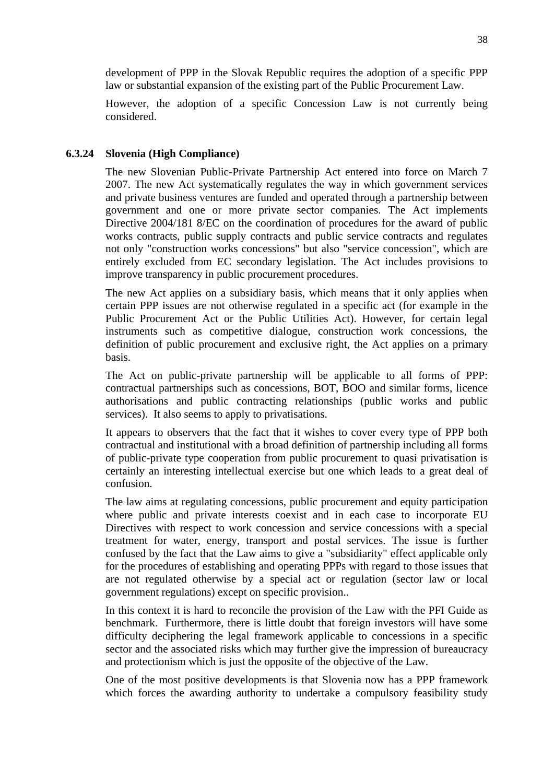development of PPP in the Slovak Republic requires the adoption of a specific PPP law or substantial expansion of the existing part of the Public Procurement Law.

However, the adoption of a specific Concession Law is not currently being considered.

# **6.3.24 Slovenia (High Compliance)**

The new Slovenian Public-Private Partnership Act entered into force on March 7 2007. The new Act systematically regulates the way in which government services and private business ventures are funded and operated through a partnership between government and one or more private sector companies. The Act implements Directive 2004/181 8/EC on the coordination of procedures for the award of public works contracts, public supply contracts and public service contracts and regulates not only "construction works concessions" but also "service concession", which are entirely excluded from EC secondary legislation. The Act includes provisions to improve transparency in public procurement procedures.

The new Act applies on a subsidiary basis, which means that it only applies when certain PPP issues are not otherwise regulated in a specific act (for example in the Public Procurement Act or the Public Utilities Act). However, for certain legal instruments such as competitive dialogue, construction work concessions, the definition of public procurement and exclusive right, the Act applies on a primary basis.

The Act on public-private partnership will be applicable to all forms of PPP: contractual partnerships such as concessions, BOT, BOO and similar forms, licence authorisations and public contracting relationships (public works and public services). It also seems to apply to privatisations.

It appears to observers that the fact that it wishes to cover every type of PPP both contractual and institutional with a broad definition of partnership including all forms of public-private type cooperation from public procurement to quasi privatisation is certainly an interesting intellectual exercise but one which leads to a great deal of confusion.

The law aims at regulating concessions, public procurement and equity participation where public and private interests coexist and in each case to incorporate EU Directives with respect to work concession and service concessions with a special treatment for water, energy, transport and postal services. The issue is further confused by the fact that the Law aims to give a "subsidiarity" effect applicable only for the procedures of establishing and operating PPPs with regard to those issues that are not regulated otherwise by a special act or regulation (sector law or local government regulations) except on specific provision..

In this context it is hard to reconcile the provision of the Law with the PFI Guide as benchmark. Furthermore, there is little doubt that foreign investors will have some difficulty deciphering the legal framework applicable to concessions in a specific sector and the associated risks which may further give the impression of bureaucracy and protectionism which is just the opposite of the objective of the Law.

One of the most positive developments is that Slovenia now has a PPP framework which forces the awarding authority to undertake a compulsory feasibility study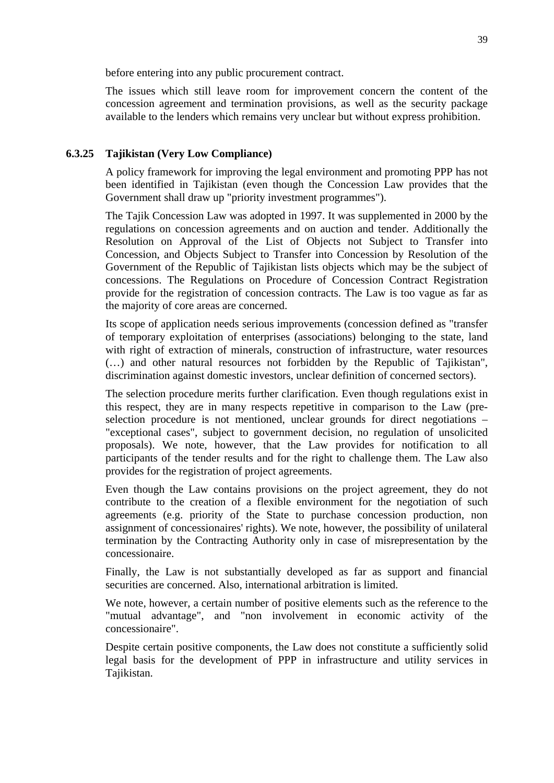before entering into any public procurement contract.

The issues which still leave room for improvement concern the content of the concession agreement and termination provisions, as well as the security package available to the lenders which remains very unclear but without express prohibition.

# **6.3.25 Tajikistan (Very Low Compliance)**

A policy framework for improving the legal environment and promoting PPP has not been identified in Tajikistan (even though the Concession Law provides that the Government shall draw up "priority investment programmes").

The Tajik Concession Law was adopted in 1997. It was supplemented in 2000 by the regulations on concession agreements and on auction and tender. Additionally the Resolution on Approval of the List of Objects not Subject to Transfer into Concession, and Objects Subject to Transfer into Concession by Resolution of the Government of the Republic of Tajikistan lists objects which may be the subject of concessions. The Regulations on Procedure of Concession Contract Registration provide for the registration of concession contracts. The Law is too vague as far as the majority of core areas are concerned.

Its scope of application needs serious improvements (concession defined as "transfer of temporary exploitation of enterprises (associations) belonging to the state, land with right of extraction of minerals, construction of infrastructure, water resources (…) and other natural resources not forbidden by the Republic of Tajikistan", discrimination against domestic investors, unclear definition of concerned sectors).

The selection procedure merits further clarification. Even though regulations exist in this respect, they are in many respects repetitive in comparison to the Law (preselection procedure is not mentioned, unclear grounds for direct negotiations – "exceptional cases", subject to government decision, no regulation of unsolicited proposals). We note, however, that the Law provides for notification to all participants of the tender results and for the right to challenge them. The Law also provides for the registration of project agreements.

Even though the Law contains provisions on the project agreement, they do not contribute to the creation of a flexible environment for the negotiation of such agreements (e.g. priority of the State to purchase concession production, non assignment of concessionaires' rights). We note, however, the possibility of unilateral termination by the Contracting Authority only in case of misrepresentation by the concessionaire.

Finally, the Law is not substantially developed as far as support and financial securities are concerned. Also, international arbitration is limited.

We note, however, a certain number of positive elements such as the reference to the "mutual advantage", and "non involvement in economic activity of the concessionaire".

Despite certain positive components, the Law does not constitute a sufficiently solid legal basis for the development of PPP in infrastructure and utility services in Tajikistan.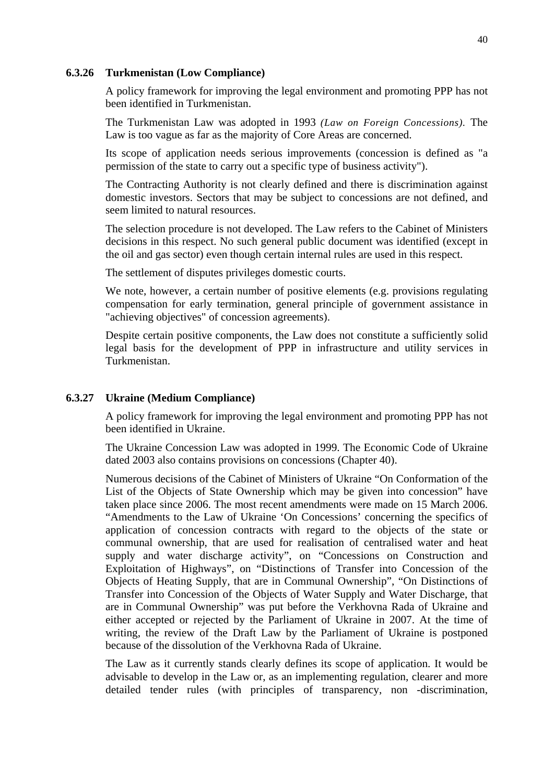#### **6.3.26 Turkmenistan (Low Compliance)**

A policy framework for improving the legal environment and promoting PPP has not been identified in Turkmenistan.

The Turkmenistan Law was adopted in 1993 *(Law on Foreign Concessions).* The Law is too vague as far as the majority of Core Areas are concerned.

Its scope of application needs serious improvements (concession is defined as "a permission of the state to carry out a specific type of business activity").

The Contracting Authority is not clearly defined and there is discrimination against domestic investors. Sectors that may be subject to concessions are not defined, and seem limited to natural resources.

The selection procedure is not developed. The Law refers to the Cabinet of Ministers decisions in this respect. No such general public document was identified (except in the oil and gas sector) even though certain internal rules are used in this respect.

The settlement of disputes privileges domestic courts.

We note, however, a certain number of positive elements (e.g. provisions regulating compensation for early termination, general principle of government assistance in "achieving objectives" of concession agreements).

Despite certain positive components, the Law does not constitute a sufficiently solid legal basis for the development of PPP in infrastructure and utility services in Turkmenistan.

## **6.3.27 Ukraine (Medium Compliance)**

A policy framework for improving the legal environment and promoting PPP has not been identified in Ukraine.

The Ukraine Concession Law was adopted in 1999. The Economic Code of Ukraine dated 2003 also contains provisions on concessions (Chapter 40).

Numerous decisions of the Cabinet of Ministers of Ukraine "On Conformation of the List of the Objects of State Ownership which may be given into concession" have taken place since 2006. The most recent amendments were made on 15 March 2006. "Amendments to the Law of Ukraine 'On Concessions' concerning the specifics of application of concession contracts with regard to the objects of the state or communal ownership, that are used for realisation of centralised water and heat supply and water discharge activity", on "Concessions on Construction and Exploitation of Highways", on "Distinctions of Transfer into Concession of the Objects of Heating Supply, that are in Communal Ownership", "On Distinctions of Transfer into Concession of the Objects of Water Supply and Water Discharge, that are in Communal Ownership" was put before the Verkhovna Rada of Ukraine and either accepted or rejected by the Parliament of Ukraine in 2007. At the time of writing, the review of the Draft Law by the Parliament of Ukraine is postponed because of the dissolution of the Verkhovna Rada of Ukraine.

The Law as it currently stands clearly defines its scope of application. It would be advisable to develop in the Law or, as an implementing regulation, clearer and more detailed tender rules (with principles of transparency, non -discrimination,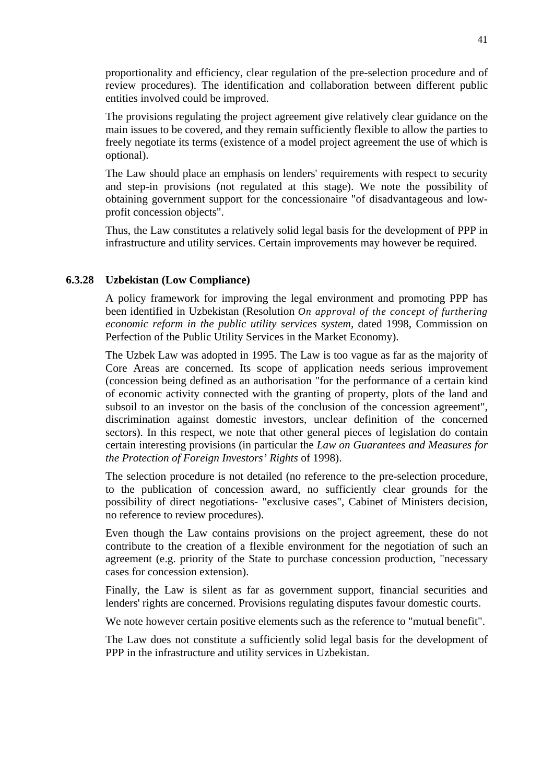proportionality and efficiency, clear regulation of the pre-selection procedure and of review procedures). The identification and collaboration between different public entities involved could be improved.

The provisions regulating the project agreement give relatively clear guidance on the main issues to be covered, and they remain sufficiently flexible to allow the parties to freely negotiate its terms (existence of a model project agreement the use of which is optional).

The Law should place an emphasis on lenders' requirements with respect to security and step-in provisions (not regulated at this stage). We note the possibility of obtaining government support for the concessionaire "of disadvantageous and lowprofit concession objects".

Thus, the Law constitutes a relatively solid legal basis for the development of PPP in infrastructure and utility services. Certain improvements may however be required.

## **6.3.28 Uzbekistan (Low Compliance)**

A policy framework for improving the legal environment and promoting PPP has been identified in Uzbekistan (Resolution *On approval of the concept of furthering economic reform in the public utility services system,* dated 1998, Commission on Perfection of the Public Utility Services in the Market Economy).

The Uzbek Law was adopted in 1995. The Law is too vague as far as the majority of Core Areas are concerned. Its scope of application needs serious improvement (concession being defined as an authorisation "for the performance of a certain kind of economic activity connected with the granting of property, plots of the land and subsoil to an investor on the basis of the conclusion of the concession agreement", discrimination against domestic investors, unclear definition of the concerned sectors). In this respect, we note that other general pieces of legislation do contain certain interesting provisions (in particular the *Law on Guarantees and Measures for the Protection of Foreign Investors' Rights* of 1998).

The selection procedure is not detailed (no reference to the pre-selection procedure, to the publication of concession award, no sufficiently clear grounds for the possibility of direct negotiations- "exclusive cases", Cabinet of Ministers decision, no reference to review procedures).

Even though the Law contains provisions on the project agreement, these do not contribute to the creation of a flexible environment for the negotiation of such an agreement (e.g. priority of the State to purchase concession production, "necessary cases for concession extension).

Finally, the Law is silent as far as government support, financial securities and lenders' rights are concerned. Provisions regulating disputes favour domestic courts.

We note however certain positive elements such as the reference to "mutual benefit".

The Law does not constitute a sufficiently solid legal basis for the development of PPP in the infrastructure and utility services in Uzbekistan.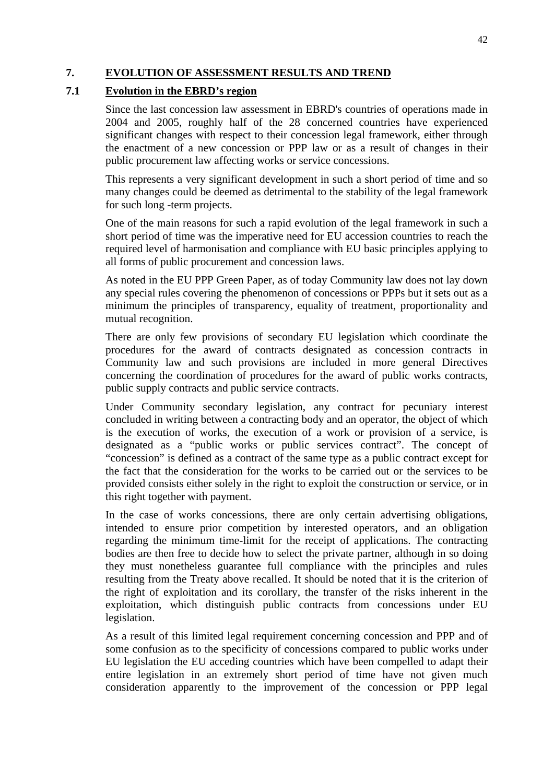# **7. EVOLUTION OF ASSESSMENT RESULTS AND TREND**

# **7.1 Evolution in the EBRD's region**

Since the last concession law assessment in EBRD's countries of operations made in 2004 and 2005, roughly half of the 28 concerned countries have experienced significant changes with respect to their concession legal framework, either through the enactment of a new concession or PPP law or as a result of changes in their public procurement law affecting works or service concessions.

This represents a very significant development in such a short period of time and so many changes could be deemed as detrimental to the stability of the legal framework for such long -term projects.

One of the main reasons for such a rapid evolution of the legal framework in such a short period of time was the imperative need for EU accession countries to reach the required level of harmonisation and compliance with EU basic principles applying to all forms of public procurement and concession laws.

As noted in the EU PPP Green Paper, as of today Community law does not lay down any special rules covering the phenomenon of concessions or PPPs but it sets out as a minimum the principles of transparency, equality of treatment, proportionality and mutual recognition.

There are only few provisions of secondary EU legislation which coordinate the procedures for the award of contracts designated as concession contracts in Community law and such provisions are included in more general Directives concerning the coordination of procedures for the award of public works contracts, public supply contracts and public service contracts.

Under Community secondary legislation, any contract for pecuniary interest concluded in writing between a contracting body and an operator, the object of which is the execution of works, the execution of a work or provision of a service, is designated as a "public works or public services contract". The concept of "concession" is defined as a contract of the same type as a public contract except for the fact that the consideration for the works to be carried out or the services to be provided consists either solely in the right to exploit the construction or service, or in this right together with payment.

In the case of works concessions, there are only certain advertising obligations, intended to ensure prior competition by interested operators, and an obligation regarding the minimum time-limit for the receipt of applications. The contracting bodies are then free to decide how to select the private partner, although in so doing they must nonetheless guarantee full compliance with the principles and rules resulting from the Treaty above recalled. It should be noted that it is the criterion of the right of exploitation and its corollary, the transfer of the risks inherent in the exploitation, which distinguish public contracts from concessions under EU legislation.

As a result of this limited legal requirement concerning concession and PPP and of some confusion as to the specificity of concessions compared to public works under EU legislation the EU acceding countries which have been compelled to adapt their entire legislation in an extremely short period of time have not given much consideration apparently to the improvement of the concession or PPP legal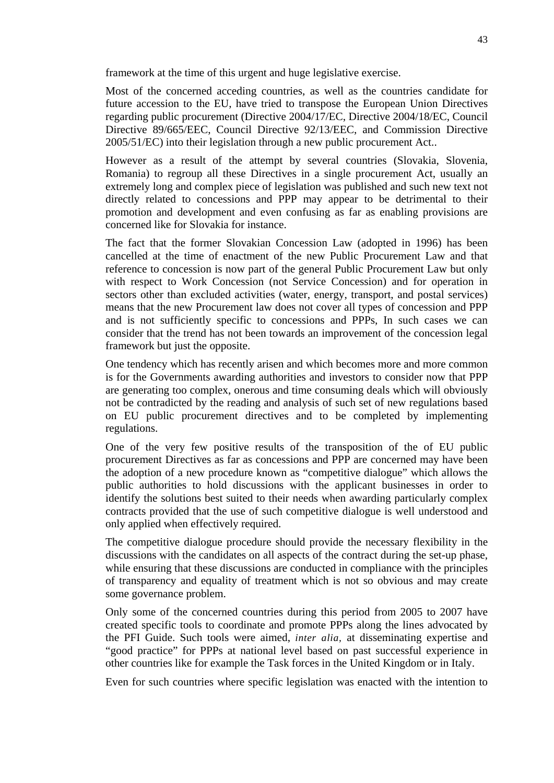framework at the time of this urgent and huge legislative exercise.

Most of the concerned acceding countries, as well as the countries candidate for future accession to the EU, have tried to transpose the European Union Directives regarding public procurement (Directive 2004/17/EC, Directive 2004/18/EC, Council Directive 89/665/EEC, Council Directive 92/13/EEC, and Commission Directive 2005/51/EC) into their legislation through a new public procurement Act..

However as a result of the attempt by several countries (Slovakia, Slovenia, Romania) to regroup all these Directives in a single procurement Act, usually an extremely long and complex piece of legislation was published and such new text not directly related to concessions and PPP may appear to be detrimental to their promotion and development and even confusing as far as enabling provisions are concerned like for Slovakia for instance.

The fact that the former Slovakian Concession Law (adopted in 1996) has been cancelled at the time of enactment of the new Public Procurement Law and that reference to concession is now part of the general Public Procurement Law but only with respect to Work Concession (not Service Concession) and for operation in sectors other than excluded activities (water, energy, transport, and postal services) means that the new Procurement law does not cover all types of concession and PPP and is not sufficiently specific to concessions and PPPs, In such cases we can consider that the trend has not been towards an improvement of the concession legal framework but just the opposite.

One tendency which has recently arisen and which becomes more and more common is for the Governments awarding authorities and investors to consider now that PPP are generating too complex, onerous and time consuming deals which will obviously not be contradicted by the reading and analysis of such set of new regulations based on EU public procurement directives and to be completed by implementing regulations.

One of the very few positive results of the transposition of the of EU public procurement Directives as far as concessions and PPP are concerned may have been the adoption of a new procedure known as "competitive dialogue" which allows the public authorities to hold discussions with the applicant businesses in order to identify the solutions best suited to their needs when awarding particularly complex contracts provided that the use of such competitive dialogue is well understood and only applied when effectively required.

The competitive dialogue procedure should provide the necessary flexibility in the discussions with the candidates on all aspects of the contract during the set-up phase, while ensuring that these discussions are conducted in compliance with the principles of transparency and equality of treatment which is not so obvious and may create some governance problem.

Only some of the concerned countries during this period from 2005 to 2007 have created specific tools to coordinate and promote PPPs along the lines advocated by the PFI Guide. Such tools were aimed, *inter alia,* at disseminating expertise and "good practice" for PPPs at national level based on past successful experience in other countries like for example the Task forces in the United Kingdom or in Italy.

Even for such countries where specific legislation was enacted with the intention to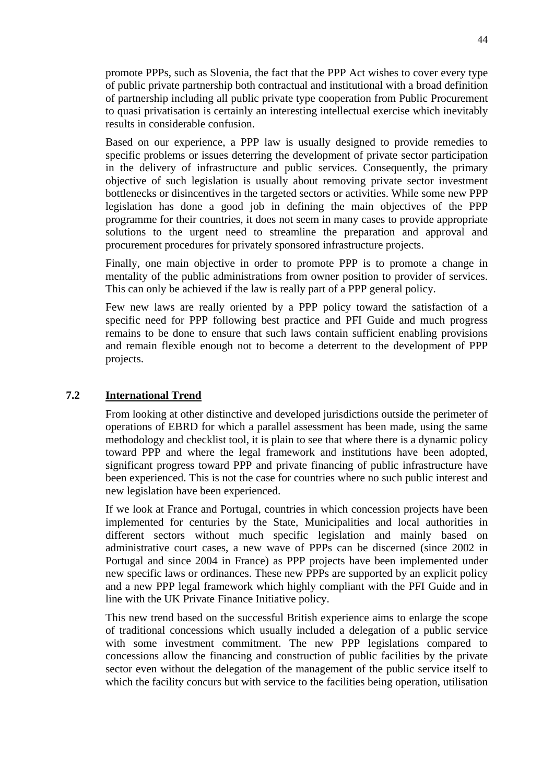promote PPPs, such as Slovenia, the fact that the PPP Act wishes to cover every type of public private partnership both contractual and institutional with a broad definition of partnership including all public private type cooperation from Public Procurement to quasi privatisation is certainly an interesting intellectual exercise which inevitably results in considerable confusion.

Based on our experience, a PPP law is usually designed to provide remedies to specific problems or issues deterring the development of private sector participation in the delivery of infrastructure and public services. Consequently, the primary objective of such legislation is usually about removing private sector investment bottlenecks or disincentives in the targeted sectors or activities. While some new PPP legislation has done a good job in defining the main objectives of the PPP programme for their countries, it does not seem in many cases to provide appropriate solutions to the urgent need to streamline the preparation and approval and procurement procedures for privately sponsored infrastructure projects.

Finally, one main objective in order to promote PPP is to promote a change in mentality of the public administrations from owner position to provider of services. This can only be achieved if the law is really part of a PPP general policy.

Few new laws are really oriented by a PPP policy toward the satisfaction of a specific need for PPP following best practice and PFI Guide and much progress remains to be done to ensure that such laws contain sufficient enabling provisions and remain flexible enough not to become a deterrent to the development of PPP projects.

# **7.2 International Trend**

From looking at other distinctive and developed jurisdictions outside the perimeter of operations of EBRD for which a parallel assessment has been made, using the same methodology and checklist tool, it is plain to see that where there is a dynamic policy toward PPP and where the legal framework and institutions have been adopted, significant progress toward PPP and private financing of public infrastructure have been experienced. This is not the case for countries where no such public interest and new legislation have been experienced.

If we look at France and Portugal, countries in which concession projects have been implemented for centuries by the State, Municipalities and local authorities in different sectors without much specific legislation and mainly based on administrative court cases, a new wave of PPPs can be discerned (since 2002 in Portugal and since 2004 in France) as PPP projects have been implemented under new specific laws or ordinances. These new PPPs are supported by an explicit policy and a new PPP legal framework which highly compliant with the PFI Guide and in line with the UK Private Finance Initiative policy.

This new trend based on the successful British experience aims to enlarge the scope of traditional concessions which usually included a delegation of a public service with some investment commitment. The new PPP legislations compared to concessions allow the financing and construction of public facilities by the private sector even without the delegation of the management of the public service itself to which the facility concurs but with service to the facilities being operation, utilisation